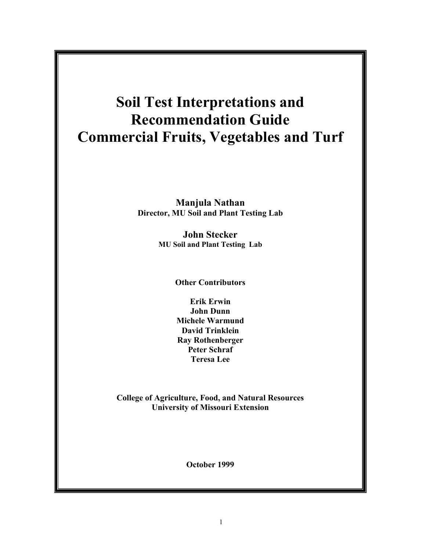# **Soil Test Interpretations and Recommendation Guide Commercial Fruits, Vegetables and Turf**

**Manjula Nathan Director, MU Soil and Plant Testing Lab**

> **John Stecker MU Soil and Plant Testing Lab**

> > **Other Contributors**

**Erik Erwin John Dunn Michele Warmund David Trinklein Ray Rothenberger Peter Schraf Teresa Lee**

**College of Agriculture, Food, and Natural Resources University of Missouri Extension**

**October 1999**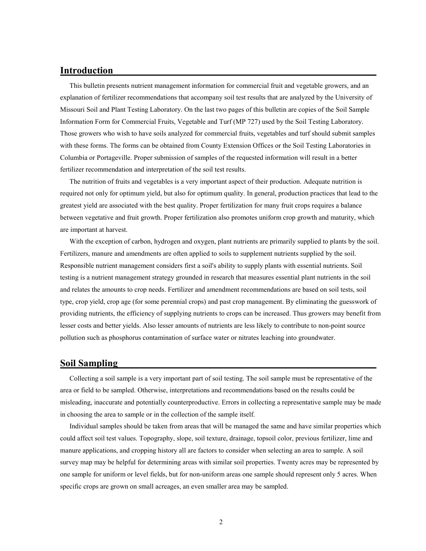# **Introduction**

This bulletin presents nutrient management information for commercial fruit and vegetable growers, and an explanation of fertilizer recommendations that accompany soil test results that are analyzed by the University of Missouri Soil and Plant Testing Laboratory. On the last two pages of this bulletin are copies of the Soil Sample Information Form for Commercial Fruits, Vegetable and Turf (MP 727) used by the Soil Testing Laboratory. Those growers who wish to have soils analyzed for commercial fruits, vegetables and turf should submit samples with these forms. The forms can be obtained from County Extension Offices or the Soil Testing Laboratories in Columbia or Portageville. Proper submission of samples of the requested information will result in a better fertilizer recommendation and interpretation of the soil test results.

The nutrition of fruits and vegetables is a very important aspect of their production. Adequate nutrition is required not only for optimum yield, but also for optimum quality. In general, production practices that lead to the greatest yield are associated with the best quality. Proper fertilization for many fruit crops requires a balance between vegetative and fruit growth. Proper fertilization also promotes uniform crop growth and maturity, which are important at harvest.

With the exception of carbon, hydrogen and oxygen, plant nutrients are primarily supplied to plants by the soil. Fertilizers, manure and amendments are often applied to soils to supplement nutrients supplied by the soil. Responsible nutrient management considers first a soil's ability to supply plants with essential nutrients. Soil testing is a nutrient management strategy grounded in research that measures essential plant nutrients in the soil and relates the amounts to crop needs. Fertilizer and amendment recommendations are based on soil tests, soil type, crop yield, crop age (for some perennial crops) and past crop management. By eliminating the guesswork of providing nutrients, the efficiency of supplying nutrients to crops can be increased. Thus growers may benefit from lesser costs and better yields. Also lesser amounts of nutrients are less likely to contribute to non-point source pollution such as phosphorus contamination of surface water or nitrates leaching into groundwater.

# **Soil Sampling**

Collecting a soil sample is a very important part of soil testing. The soil sample must be representative of the area or field to be sampled. Otherwise, interpretations and recommendations based on the results could be misleading, inaccurate and potentially counterproductive. Errors in collecting a representative sample may be made in choosing the area to sample or in the collection of the sample itself.

Individual samples should be taken from areas that will be managed the same and have similar properties which could affect soil test values. Topography, slope, soil texture, drainage, topsoil color, previous fertilizer, lime and manure applications, and cropping history all are factors to consider when selecting an area to sample. A soil survey map may be helpful for determining areas with similar soil properties. Twenty acres may be represented by one sample for uniform or level fields, but for non-uniform areas one sample should represent only 5 acres. When specific crops are grown on small acreages, an even smaller area may be sampled.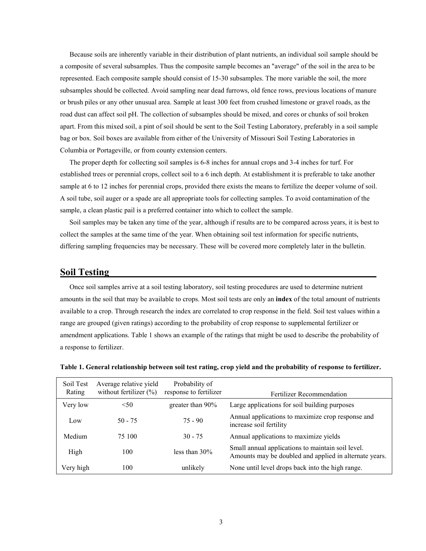Because soils are inherently variable in their distribution of plant nutrients, an individual soil sample should be a composite of several subsamples. Thus the composite sample becomes an "average" of the soil in the area to be represented. Each composite sample should consist of 15-30 subsamples. The more variable the soil, the more subsamples should be collected. Avoid sampling near dead furrows, old fence rows, previous locations of manure or brush piles or any other unusual area. Sample at least 300 feet from crushed limestone or gravel roads, as the road dust can affect soil pH. The collection of subsamples should be mixed, and cores or chunks of soil broken apart. From this mixed soil, a pint of soil should be sent to the Soil Testing Laboratory, preferably in a soil sample bag or box. Soil boxes are available from either of the University of Missouri Soil Testing Laboratories in Columbia or Portageville, or from county extension centers.

The proper depth for collecting soil samples is 6-8 inches for annual crops and 3-4 inches for turf. For established trees or perennial crops, collect soil to a 6 inch depth. At establishment it is preferable to take another sample at 6 to 12 inches for perennial crops, provided there exists the means to fertilize the deeper volume of soil. A soil tube, soil auger or a spade are all appropriate tools for collecting samples. To avoid contamination of the sample, a clean plastic pail is a preferred container into which to collect the sample.

Soil samples may be taken any time of the year, although if results are to be compared across years, it is best to collect the samples at the same time of the year. When obtaining soil test information for specific nutrients, differing sampling frequencies may be necessary. These will be covered more completely later in the bulletin.

# **Soil Testing**

Once soil samples arrive at a soil testing laboratory, soil testing procedures are used to determine nutrient amounts in the soil that may be available to crops. Most soil tests are only an **index** of the total amount of nutrients available to a crop. Through research the index are correlated to crop response in the field. Soil test values within a range are grouped (given ratings) according to the probability of crop response to supplemental fertilizer or amendment applications. Table 1 shows an example of the ratings that might be used to describe the probability of a response to fertilizer.

| Soil Test<br>Rating | Average relative yield<br>without fertilizer $(\%)$ | Probability of<br>response to fertilizer | Fertilizer Recommendation                                                                                   |
|---------------------|-----------------------------------------------------|------------------------------------------|-------------------------------------------------------------------------------------------------------------|
| Very low            | < 50                                                | greater than 90%                         | Large applications for soil building purposes                                                               |
| Low                 | $50 - 75$                                           | $75 - 90$                                | Annual applications to maximize crop response and<br>increase soil fertility                                |
| Medium              | 75 100                                              | $30 - 75$                                | Annual applications to maximize yields                                                                      |
| High                | 100                                                 | less than 30%                            | Small annual applications to maintain soil level.<br>Amounts may be doubled and applied in alternate years. |
| Very high           | 100                                                 | unlikely                                 | None until level drops back into the high range.                                                            |

**Table 1. General relationship between soil test rating, crop yield and the probability of response to fertilizer.**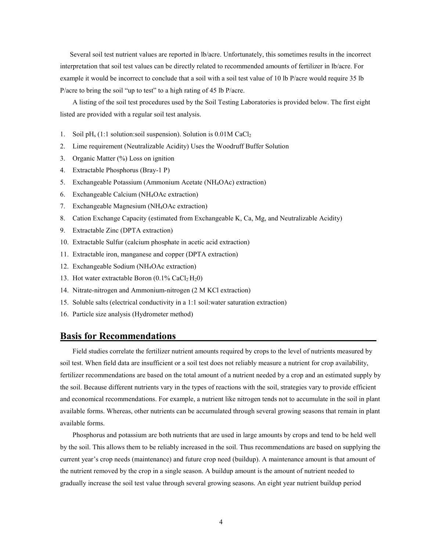Several soil test nutrient values are reported in lb/acre. Unfortunately, this sometimes results in the incorrect interpretation that soil test values can be directly related to recommended amounts of fertilizer in lb/acre. For example it would be incorrect to conclude that a soil with a soil test value of 10 lb P/acre would require 35 lb P/acre to bring the soil "up to test" to a high rating of 45 lb P/acre.

A listing of the soil test procedures used by the Soil Testing Laboratories is provided below. The first eight listed are provided with a regular soil test analysis.

- 1. Soil pH<sub>s</sub> (1:1 solution:soil suspension). Solution is 0.01M CaCl<sub>2</sub>
- 2. Lime requirement (Neutralizable Acidity) Uses the Woodruff Buffer Solution
- 3. Organic Matter (%) Loss on ignition
- 4. Extractable Phosphorus (Bray-1 P)
- 5. Exchangeable Potassium (Ammonium Acetate (NH4OAc) extraction)
- 6. Exchangeable Calcium (NH4OAc extraction)
- 7. Exchangeable Magnesium (NH4OAc extraction)
- 8. Cation Exchange Capacity (estimated from Exchangeable K, Ca, Mg, and Neutralizable Acidity)
- 9. Extractable Zinc (DPTA extraction)
- 10. Extractable Sulfur (calcium phosphate in acetic acid extraction)
- 11. Extractable iron, manganese and copper (DPTA extraction)
- 12. Exchangeable Sodium (NH4OAc extraction)
- 13. Hot water extractable Boron (0.1% CaCl<sub>2</sub> H<sub>2</sub>0)
- 14. Nitrate-nitrogen and Ammonium-nitrogen (2 M KCl extraction)
- 15. Soluble salts (electrical conductivity in a 1:1 soil:water saturation extraction)
- 16. Particle size analysis (Hydrometer method)

# **Basis for Recommendations**

Field studies correlate the fertilizer nutrient amounts required by crops to the level of nutrients measured by soil test. When field data are insufficient or a soil test does not reliably measure a nutrient for crop availability, fertilizer recommendations are based on the total amount of a nutrient needed by a crop and an estimated supply by the soil. Because different nutrients vary in the types of reactions with the soil, strategies vary to provide efficient and economical recommendations. For example, a nutrient like nitrogen tends not to accumulate in the soil in plant available forms. Whereas, other nutrients can be accumulated through several growing seasons that remain in plant available forms.

Phosphorus and potassium are both nutrients that are used in large amounts by crops and tend to be held well by the soil. This allows them to be reliably increased in the soil. Thus recommendations are based on supplying the current year's crop needs (maintenance) and future crop need (buildup). A maintenance amount is that amount of the nutrient removed by the crop in a single season. A buildup amount is the amount of nutrient needed to gradually increase the soil test value through several growing seasons. An eight year nutrient buildup period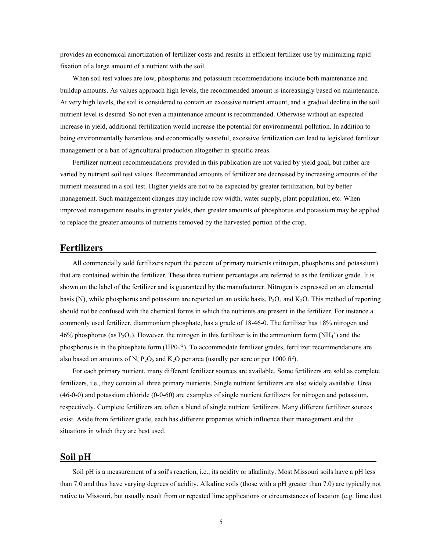provides an economical amortization of fertilizer costs and results in efficient fertilizer use by minimizing rapid fixation of a large amount of a nutrient with the soil.

When soil test values are low, phosphorus and potassium recommendations include both maintenance and buildup amounts. As values approach high levels, the recommended amount is increasingly based on maintenance. At very high levels, the soil is considered to contain an excessive nutrient amount, and a gradual decline in the soil nutrient level is desired. So not even a maintenance amount is recommended. Otherwise without an expected increase in yield, additional fertilization would increase the potential for environmental pollution. In addition to being environmentally hazardous and economically wasteful, excessive fertilization can lead to legislated fertilizer management or a ban of agricultural production altogether in specific areas.

Fertilizer nutrient recommendations provided in this publication are not varied by yield goal, but rather are varied by nutrient soil test values. Recommended amounts of fertilizer are decreased by increasing amounts of the nutrient measured in a soil test. Higher yields are not to be expected by greater fertilization, but by better management. Such management changes may include row width, water supply, plant population, etc. When improved management results in greater yields, then greater amounts of phosphorus and potassium may be applied to replace the greater amounts of nutrients removed by the harvested portion of the crop.

# **Fertilizers**

All commercially sold fertilizers report the percent of primary nutrients (nitrogen, phosphorus and potassium) that are contained within the fertilizer. These three nutrient percentages are referred to as the fertilizer grade. It is shown on the label of the fertilizer and is guaranteed by the manufacturer. Nitrogen is expressed on an elemental basis (N), while phosphorus and potassium are reported on an oxide basis,  $P_2O_5$  and  $K_2O$ . This method of reporting should not be confused with the chemical forms in which the nutrients are present in the fertilizer. For instance a commonly used fertilizer, diammonium phosphate, has a grade of 18-46-0. The fertilizer has 18% nitrogen and 46% phosphorus (as  $P_2O_5$ ). However, the nitrogen in this fertilizer is in the ammonium form (NH<sub>4</sub><sup>+</sup>) and the phosphorus is in the phosphate form (HP0<sub>4</sub><sup>-2</sup>). To accommodate fertilizer grades, fertilizer recommendations are also based on amounts of N,  $P_2O_5$  and  $K_2O$  per area (usually per acre or per 1000 ft<sup>2</sup>).

For each primary nutrient, many different fertilizer sources are available. Some fertilizers are sold as complete fertilizers, i.e., they contain all three primary nutrients. Single nutrient fertilizers are also widely available. Urea (46-0-0) and potassium chloride (0-0-60) are examples of single nutrient fertilizers for nitrogen and potassium, respectively. Complete fertilizers are often a blend of single nutrient fertilizers. Many different fertilizer sources exist. Aside from fertilizer grade, each has different properties which influence their management and the situations in which they are best used.

## **Soil pH**

Soil pH is a measurement of a soil's reaction, i.e., its acidity or alkalinity. Most Missouri soils have a pH less than 7.0 and thus have varying degrees of acidity. Alkaline soils (those with a pH greater than 7.0) are typically not native to Missouri, but usually result from or repeated lime applications or circumstances of location (e.g. lime dust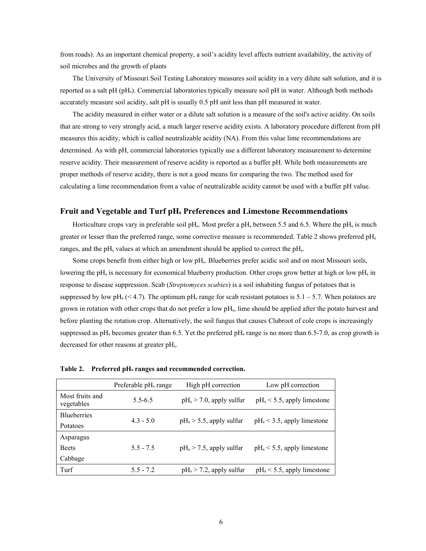from roads). As an important chemical property, a soil's acidity level affects nutrient availability, the activity of soil microbes and the growth of plants

The University of Missouri Soil Testing Laboratory measures soil acidity in a very dilute salt solution, and it is reported as a salt pH (pHs). Commercial laboratories typically measure soil pH in water. Although both methods accurately measure soil acidity, salt pH is usually 0.5 pH unit less than pH measured in water.

The acidity measured in either water or a dilute salt solution is a measure of the soil's active acidity. On soils that are strong to very strongly acid, a much larger reserve acidity exists. A laboratory procedure different from pH measures this acidity, which is called neutralizable acidity (NA). From this value lime recommendations are determined. As with pH, commercial laboratories typically use a different laboratory measurement to determine reserve acidity. Their measurement of reserve acidity is reported as a buffer pH. While both measurements are proper methods of reserve acidity, there is not a good means for comparing the two. The method used for calculating a lime recommendation from a value of neutralizable acidity cannot be used with a buffer pH value.

#### **Fruit and Vegetable and Turf pHs Preferences and Limestone Recommendations**

Horticulture crops vary in preferable soil pH<sub>s</sub>. Most prefer a pH<sub>s</sub> between 5.5 and 6.5. Where the pH<sub>s</sub> is much greater or lesser than the preferred range, some corrective measure is recommended. Table 2 shows preferred pH<sub>s</sub> ranges, and the pH<sub>s</sub> values at which an amendment should be applied to correct the pH<sub>s</sub>.

Some crops benefit from either high or low pHs. Blueberries prefer acidic soil and on most Missouri soils, lowering the pH<sub>s</sub> is necessary for economical blueberry production. Other crops grow better at high or low pH<sub>s</sub> in response to disease suppression. Scab (*Streptomyces scabies*) is a soil inhabiting fungus of potatoes that is suppressed by low pH<sub>s</sub> (< 4.7). The optimum pH<sub>s</sub> range for scab resistant potatoes is 5.1 – 5.7. When potatoes are grown in rotation with other crops that do not prefer a low pHs, lime should be applied after the potato harvest and before planting the rotation crop. Alternatively, the soil fungus that causes Clubroot of cole crops is increasingly suppressed as  $pH_s$  becomes greater than 6.5. Yet the preferred  $pH_s$  range is no more than 6.5-7.0, as crop growth is decreased for other reasons at greater pHs.

|                               | Preferable $pH_s$ range | High pH correction          | Low pH correction              |
|-------------------------------|-------------------------|-----------------------------|--------------------------------|
| Most fruits and<br>vegetables | $5.5 - 6.5$             | $pH_s > 7.0$ , apply sulfur | $pH_s < 5.5$ , apply limestone |
| <b>Blueberries</b>            | $4.3 - 5.0$             |                             |                                |
| Potatoes                      |                         | $pH_s > 5.5$ , apply sulfur | $pH_s < 3.5$ , apply limestone |
| Asparagus                     |                         |                             |                                |
| <b>Beets</b>                  | $5.5 - 7.5$             | $pH_s > 7.5$ , apply sulfur | $pH_s < 5.5$ , apply limestone |
| Cabbage                       |                         |                             |                                |
| Turf                          | $5.5 - 7.2$             | $pH_s > 7.2$ , apply sulfur | $pH_s < 5.5$ , apply limestone |

| Preferred pH <sub>s</sub> ranges and recommended correction. | Table 2. |  |  |  |  |
|--------------------------------------------------------------|----------|--|--|--|--|
|--------------------------------------------------------------|----------|--|--|--|--|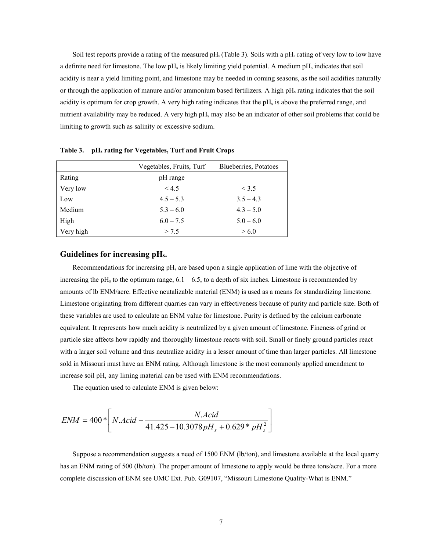Soil test reports provide a rating of the measured  $pH_s$  (Table 3). Soils with a  $pH_s$  rating of very low to low have a definite need for limestone. The low  $pH_s$  is likely limiting yield potential. A medium  $pH_s$  indicates that soil acidity is near a yield limiting point, and limestone may be needed in coming seasons, as the soil acidifies naturally or through the application of manure and/or ammonium based fertilizers. A high pHs rating indicates that the soil acidity is optimum for crop growth. A very high rating indicates that the  $pH<sub>s</sub>$  is above the preferred range, and nutrient availability may be reduced. A very high pH<sub>s</sub> may also be an indicator of other soil problems that could be limiting to growth such as salinity or excessive sodium.

|           | Vegetables, Fruits, Turf | Blueberries, Potatoes |
|-----------|--------------------------|-----------------------|
| Rating    | pH range                 |                       |
| Very low  | < 4.5                    | < 3.5                 |
| Low       | $4.5 - 5.3$              | $3.5 - 4.3$           |
| Medium    | $5.3 - 6.0$              | $4.3 - 5.0$           |
| High      | $6.0 - 7.5$              | $5.0 - 6.0$           |
| Very high | > 7.5                    | > 6.0                 |

**Table 3. pHs rating for Vegetables, Turf and Fruit Crops**

#### **Guidelines for increasing pHs.**

Recommendations for increasing  $pH_s$  are based upon a single application of lime with the objective of increasing the pH<sub>s</sub> to the optimum range,  $6.1 - 6.5$ , to a depth of six inches. Limestone is recommended by amounts of lb ENM/acre. Effective neutalizable material (ENM) is used as a means for standardizing limestone. Limestone originating from different quarries can vary in effectiveness because of purity and particle size. Both of these variables are used to calculate an ENM value for limestone. Purity is defined by the calcium carbonate equivalent. It represents how much acidity is neutralized by a given amount of limestone. Fineness of grind or particle size affects how rapidly and thoroughly limestone reacts with soil. Small or finely ground particles react with a larger soil volume and thus neutralize acidity in a lesser amount of time than larger particles. All limestone sold in Missouri must have an ENM rating. Although limestone is the most commonly applied amendment to increase soil pH, any liming material can be used with ENM recommendations.

The equation used to calculate ENM is given below:

$$
ENM = 400 * \left[ N.Acid - \frac{N.Acid}{41.425 - 10.3078pH_s + 0.629 * pH_s^2} \right]
$$

Suppose a recommendation suggests a need of 1500 ENM (lb/ton), and limestone available at the local quarry has an ENM rating of 500 (lb/ton). The proper amount of limestone to apply would be three tons/acre. For a more complete discussion of ENM see UMC Ext. Pub. G09107, "Missouri Limestone Quality-What is ENM."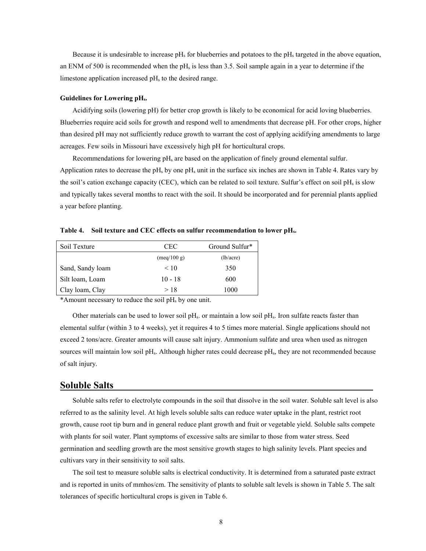Because it is undesirable to increase  $pH_s$  for blueberries and potatoes to the  $pH_s$  targeted in the above equation, an ENM of 500 is recommended when the  $pH<sub>s</sub>$  is less than 3.5. Soil sample again in a year to determine if the limestone application increased  $pH<sub>s</sub>$  to the desired range.

#### **Guidelines for Lowering pHs.**

Acidifying soils (lowering pH) for better crop growth is likely to be economical for acid loving blueberries. Blueberries require acid soils for growth and respond well to amendments that decrease pH. For other crops, higher than desired pH may not sufficiently reduce growth to warrant the cost of applying acidifying amendments to large acreages. Few soils in Missouri have excessively high pH for horticultural crops.

Recommendations for lowering pH<sub>s</sub> are based on the application of finely ground elemental sulfur. Application rates to decrease the  $pH_s$  by one  $pH_s$  unit in the surface six inches are shown in Table 4. Rates vary by the soil's cation exchange capacity (CEC), which can be related to soil texture. Sulfur's effect on soil  $pH_s$  is slow and typically takes several months to react with the soil. It should be incorporated and for perennial plants applied a year before planting.

**Table 4. Soil texture and CEC effects on sulfur recommendation to lower pHs.**

| Soil Texture     | CEC                          | Ground Sulfur* |
|------------------|------------------------------|----------------|
|                  | $(\text{meq}/100 \text{ g})$ | (lb/acre)      |
| Sand, Sandy loam | < 10                         | 350            |
| Silt loam, Loam  | $10 - 18$                    | 600            |
| Clay loam, Clay  | >18                          | 1000           |

\*Amount necessary to reduce the soil  $pH<sub>s</sub>$  by one unit.

Other materials can be used to lower soil  $pH_s$ . or maintain a low soil  $pH_s$ . Iron sulfate reacts faster than elemental sulfur (within 3 to 4 weeks), yet it requires 4 to 5 times more material. Single applications should not exceed 2 tons/acre. Greater amounts will cause salt injury. Ammonium sulfate and urea when used as nitrogen sources will maintain low soil pH<sub>s</sub>. Although higher rates could decrease pH<sub>s</sub>, they are not recommended because of salt injury.

### **Soluble Salts**

Soluble salts refer to electrolyte compounds in the soil that dissolve in the soil water. Soluble salt level is also referred to as the salinity level. At high levels soluble salts can reduce water uptake in the plant, restrict root growth, cause root tip burn and in general reduce plant growth and fruit or vegetable yield. Soluble salts compete with plants for soil water. Plant symptoms of excessive salts are similar to those from water stress. Seed germination and seedling growth are the most sensitive growth stages to high salinity levels. Plant species and cultivars vary in their sensitivity to soil salts.

The soil test to measure soluble salts is electrical conductivity. It is determined from a saturated paste extract and is reported in units of mmhos/cm. The sensitivity of plants to soluble salt levels is shown in Table 5. The salt tolerances of specific horticultural crops is given in Table 6.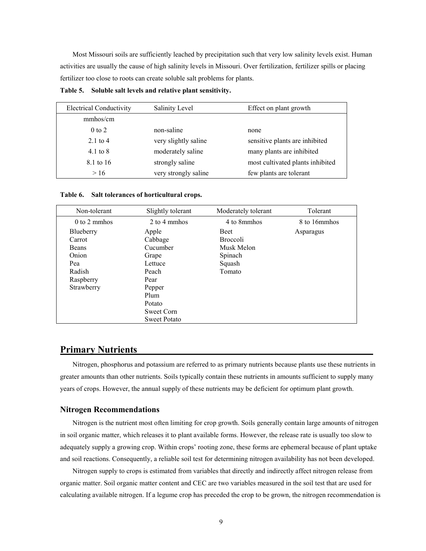Most Missouri soils are sufficiently leached by precipitation such that very low salinity levels exist. Human activities are usually the cause of high salinity levels in Missouri. Over fertilization, fertilizer spills or placing fertilizer too close to roots can create soluble salt problems for plants.

| <b>Electrical Conductivity</b> | Salinity Level       | Effect on plant growth           |
|--------------------------------|----------------------|----------------------------------|
| mmhos/cm                       |                      |                                  |
| $0 \text{ to } 2$              | non-saline           | none                             |
| $2.1$ to 4                     | very slightly saline | sensitive plants are inhibited   |
| 4.1 to $8$                     | moderately saline    | many plants are inhibited        |
| 8.1 to 16                      | strongly saline      | most cultivated plants inhibited |
| >16                            | very strongly saline | few plants are tolerant          |

**Table 5. Soluble salt levels and relative plant sensitivity.**

**Table 6. Salt tolerances of horticultural crops.**

| Non-tolerant   | Slightly tolerant   | Moderately tolerant | Tolerant     |
|----------------|---------------------|---------------------|--------------|
| $0$ to 2 mmhos | 2 to 4 mmhos        | 4 to 8mmhos         | 8 to 16mmhos |
| Blueberry      | Apple               | <b>Beet</b>         | Asparagus    |
| Carrot         | Cabbage             | <b>Broccoli</b>     |              |
| <b>Beans</b>   | Cucumber            | Musk Melon          |              |
| Onion          | Grape               | Spinach             |              |
| Pea            | Lettuce             | Squash              |              |
| Radish         | Peach               | Tomato              |              |
| Raspberry      | Pear                |                     |              |
| Strawberry     | Pepper              |                     |              |
|                | Plum                |                     |              |
|                | Potato              |                     |              |
|                | Sweet Corn          |                     |              |
|                | <b>Sweet Potato</b> |                     |              |

# **Primary Nutrients**

Nitrogen, phosphorus and potassium are referred to as primary nutrients because plants use these nutrients in greater amounts than other nutrients. Soils typically contain these nutrients in amounts sufficient to supply many years of crops. However, the annual supply of these nutrients may be deficient for optimum plant growth.

#### **Nitrogen Recommendations**

Nitrogen is the nutrient most often limiting for crop growth. Soils generally contain large amounts of nitrogen in soil organic matter, which releases it to plant available forms. However, the release rate is usually too slow to adequately supply a growing crop. Within crops' rooting zone, these forms are ephemeral because of plant uptake and soil reactions. Consequently, a reliable soil test for determining nitrogen availability has not been developed.

Nitrogen supply to crops is estimated from variables that directly and indirectly affect nitrogen release from organic matter. Soil organic matter content and CEC are two variables measured in the soil test that are used for calculating available nitrogen. If a legume crop has preceded the crop to be grown, the nitrogen recommendation is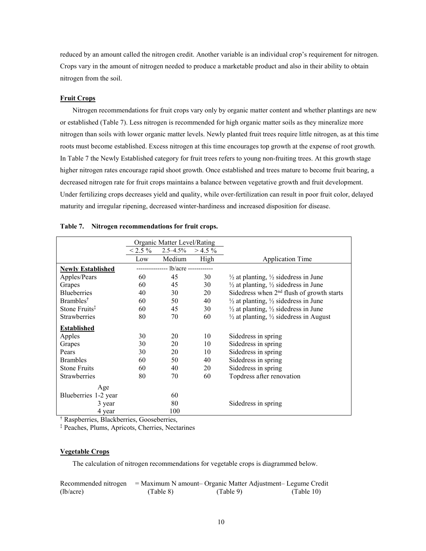reduced by an amount called the nitrogen credit. Another variable is an individual crop's requirement for nitrogen. Crops vary in the amount of nitrogen needed to produce a marketable product and also in their ability to obtain nitrogen from the soil.

#### **Fruit Crops**

Nitrogen recommendations for fruit crops vary only by organic matter content and whether plantings are new or established (Table 7). Less nitrogen is recommended for high organic matter soils as they mineralize more nitrogen than soils with lower organic matter levels. Newly planted fruit trees require little nitrogen, as at this time roots must become established. Excess nitrogen at this time encourages top growth at the expense of root growth. In Table 7 the Newly Established category for fruit trees refers to young non-fruiting trees. At this growth stage higher nitrogen rates encourage rapid shoot growth. Once established and trees mature to become fruit bearing, a decreased nitrogen rate for fruit crops maintains a balance between vegetative growth and fruit development. Under fertilizing crops decreases yield and quality, while over-fertilization can result in poor fruit color, delayed maturity and irregular ripening, decreased winter-hardiness and increased disposition for disease.

|                           |           | Organic Matter Level/Rating          |           |                                                              |
|---------------------------|-----------|--------------------------------------|-----------|--------------------------------------------------------------|
|                           | $< 2.5\%$ | $2.5 - 4.5\%$                        | $>$ 4.5 % |                                                              |
|                           | Low       | Medium                               | High      | <b>Application Time</b>                                      |
| <b>Newly Established</b>  |           | --------------- lb/acre ------------ |           |                                                              |
| Apples/Pears              | 60        | 45                                   | 30        | $\frac{1}{2}$ at planting, $\frac{1}{2}$ sidedress in June   |
| Grapes                    | 60        | 45                                   | 30        | $\frac{1}{2}$ at planting, $\frac{1}{2}$ sidedress in June   |
| <b>Blueberries</b>        | 40        | 30                                   | 20        | Sidedress when 2 <sup>nd</sup> flush of growth starts        |
| Brambles <sup>†</sup>     | 60        | 50                                   | 40        | $\frac{1}{2}$ at planting, $\frac{1}{2}$ sidedress in June   |
| Stone Fruits <sup>‡</sup> | 60        | 45                                   | 30        | $\frac{1}{2}$ at planting, $\frac{1}{2}$ sidedress in June   |
| <b>Strawberries</b>       | 80        | 70                                   | 60        | $\frac{1}{2}$ at planting, $\frac{1}{2}$ sidedress in August |
| <b>Established</b>        |           |                                      |           |                                                              |
| Apples                    | 30        | 20                                   | 10        | Sidedress in spring                                          |
| Grapes                    | 30        | 20                                   | 10        | Sidedress in spring                                          |
| Pears                     | 30        | 20                                   | 10        | Sidedress in spring                                          |
| <b>Brambles</b>           | 60        | 50                                   | 40        | Sidedress in spring                                          |
| <b>Stone Fruits</b>       | 60        | 40                                   | 20        | Sidedress in spring                                          |
| <b>Strawberries</b>       | 80        | 70                                   | 60        | Topdress after renovation                                    |
| Age                       |           |                                      |           |                                                              |
| Blueberries 1-2 year      |           | 60                                   |           |                                                              |
| 3 year                    |           | 80                                   |           | Sidedress in spring                                          |
| 4 year                    |           | 100                                  |           |                                                              |

#### **Table 7. Nitrogen recommendations for fruit crops.**

† Raspberries, Blackberries, Gooseberries,

‡ Peaches, Plums, Apricots, Cherries, Nectarines

#### **Vegetable Crops**

The calculation of nitrogen recommendations for vegetable crops is diagrammed below.

|           |           | Recommended nitrogen = Maximum N amount- Organic Matter Adjustment- Legume Credit |            |
|-----------|-----------|-----------------------------------------------------------------------------------|------------|
| (lb/acre) | (Table 8) | (Table 9)                                                                         | (Table 10) |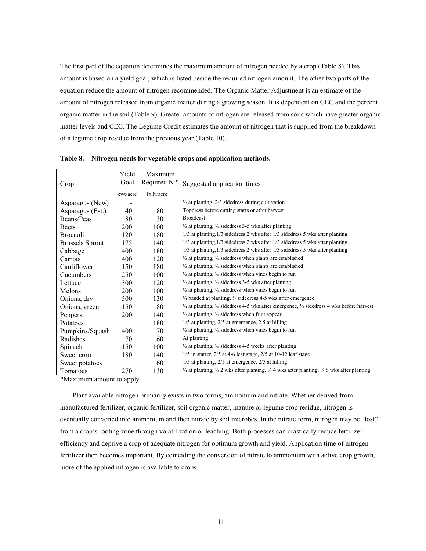The first part of the equation determines the maximum amount of nitrogen needed by a crop (Table 8). This amount is based on a yield goal, which is listed beside the required nitrogen amount. The other two parts of the equation reduce the amount of nitrogen recommended. The Organic Matter Adjustment is an estimate of the amount of nitrogen released from organic matter during a growing season. It is dependent on CEC and the percent organic matter in the soil (Table 9). Greater amounts of nitrogen are released from soils which have greater organic matter levels and CEC. The Legume Credit estimates the amount of nitrogen that is supplied from the breakdown of a legume crop residue from the previous year (Table 10).

|                        | Yield    | Maximum      |                                                                                                                                       |
|------------------------|----------|--------------|---------------------------------------------------------------------------------------------------------------------------------------|
| Crop                   | Goal     | Required N.* | Suggested application times                                                                                                           |
|                        | cwt/acre | lb N/acre    |                                                                                                                                       |
| Asparagus (New)        |          |              | $\frac{1}{2}$ at planting, 2/3 sidedress during cultivation                                                                           |
| Asparagus (Est.)       | 40       | 80           | Topdress before cutting starts or after harvest                                                                                       |
| Beans/Peas             | 80       | 30           | <b>Broadcast</b>                                                                                                                      |
| <b>Beets</b>           | 200      | 100          | $\frac{1}{2}$ at planting, $\frac{1}{2}$ sidedress 3-5 wks after planting                                                             |
| <b>Broccoli</b>        | 120      | 180          | 1/3 at planting, 1/3 sidedress 2 wks after 1/3 sidedress 5 wks after planting                                                         |
| <b>Brussels Sprout</b> | 175      | 140          | 1/3 at planting, 1/3 sidedress 2 wks after 1/3 sidedress 5 wks after planting                                                         |
| Cabbage                | 400      | 180          | 1/3 at planting, 1/3 sidedress 2 wks after 1/3 sidedress 5 wks after planting                                                         |
| Carrots                | 400      | 120          | $\frac{1}{2}$ at planting, $\frac{1}{2}$ sidedress when plants are established                                                        |
| Cauliflower            | 150      | 180          | $\frac{1}{2}$ at planting, $\frac{1}{2}$ sidedress when plants are established                                                        |
| Cucumbers              | 250      | 100          | $\frac{1}{2}$ at planting, $\frac{1}{2}$ sidedress when vines begin to run                                                            |
| Lettuce                | 300      | 120          | $\frac{1}{2}$ at planting, $\frac{1}{2}$ sidedress 3-5 wks after planting                                                             |
| Melons                 | 200      | 100          | $\frac{1}{2}$ at planting, $\frac{1}{2}$ sidedress when vines begin to run                                                            |
| Onions, dry            | 500      | 130          | $\frac{1}{4}$ banded at planting, $\frac{3}{4}$ sidedress 4-5 wks after emergence                                                     |
| Onions, green          | 150      | 80           | $\frac{1}{4}$ at planting, $\frac{1}{2}$ sidedness 4-5 wks after emergence, $\frac{1}{4}$ sidedness 4 wks before harvest              |
| Peppers                | 200      | 140          | $\frac{1}{2}$ at planting, $\frac{1}{2}$ sidedress when fruit appear                                                                  |
| Potatoes               |          | 180          | $1/5$ at planting, $2/5$ at emergence, 2.5 at hilling                                                                                 |
| Pumpkins/Squash        | 400      | 70           | $\frac{1}{2}$ at planting, $\frac{1}{2}$ sidedress when vines begin to run                                                            |
| Radishes               | 70       | 60           | At planting                                                                                                                           |
| Spinach                | 150      | 100          | $\frac{1}{2}$ at planting, $\frac{1}{2}$ sidedress 4-5 weeks after planting                                                           |
| Sweet corn             | 180      | 140          | $1/5$ in starter, $2/5$ at 4-6 leaf stage, $2/5$ at 10-12 leaf stage                                                                  |
| Sweet potatoes         |          | 60           | $1/5$ at planting, $2/5$ at emergence, $2/5$ at hilling                                                                               |
| Tomatoes               | 270      | 130          | $\frac{1}{4}$ at planting, $\frac{1}{4}$ 2 wks after planting, $\frac{1}{4}$ 4 wks after planting, $\frac{1}{4}$ 6 wks after planting |

**Table 8. Nitrogen needs for vegetable crops and application methods.** 

\*Maximum amount to apply

Plant available nitrogen primarily exists in two forms, ammonium and nitrate. Whether derived from manufactured fertilizer, organic fertilizer, soil organic matter, manure or legume crop residue, nitrogen is eventually converted into ammonium and then nitrate by soil microbes. In the nitrate form, nitrogen may be "lost" from a crop's rooting zone through volatilization or leaching. Both processes can drastically reduce fertilizer efficiency and deprive a crop of adequate nitrogen for optimum growth and yield. Application time of nitrogen fertilizer then becomes important. By coinciding the conversion of nitrate to ammonium with active crop growth, more of the applied nitrogen is available to crops.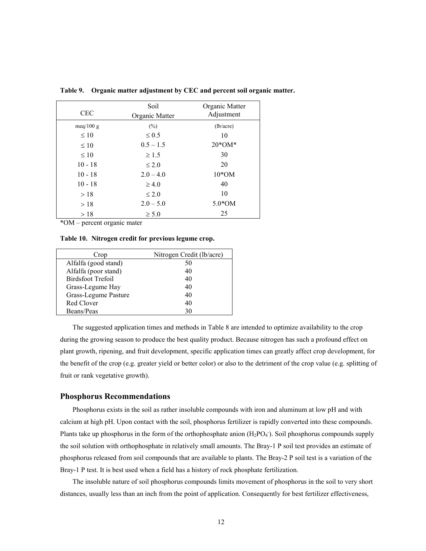| <b>CEC</b> | Soil<br>Organic Matter | Organic Matter<br>Adjustment |
|------------|------------------------|------------------------------|
| meq/100 g  | (%)                    | (lb/acre)                    |
| $\leq 10$  | $\leq 0.5$             | 10                           |
| $\leq 10$  | $0.5 - 1.5$            | $20*OM*$                     |
| $\leq 10$  | $\geq 1.5$             | 30                           |
| $10 - 18$  | $\leq 2.0$             | 20                           |
| $10 - 18$  | $2.0 - 4.0$            | $10*OM$                      |
| $10 - 18$  | $\geq 4.0$             | 40                           |
| >18        | $\leq 2.0$             | 10                           |
| >18        | $2.0 - 5.0$            | $5.0*OM$                     |
| >18        | $\geq 5.0$             | 25                           |

**Table 9. Organic matter adjustment by CEC and percent soil organic matter.** 

\*OM – percent organic mater

#### **Table 10. Nitrogen credit for previous legume crop.**

| Crop                 | Nitrogen Credit (lb/acre) |
|----------------------|---------------------------|
| Alfalfa (good stand) | 50                        |
| Alfalfa (poor stand) | 40                        |
| Birdsfoot Trefoil    | 40                        |
| Grass-Legume Hay     | 40                        |
| Grass-Legume Pasture | 40                        |
| Red Clover           | 40                        |
| Beans/Peas           | 30                        |

The suggested application times and methods in Table 8 are intended to optimize availability to the crop during the growing season to produce the best quality product. Because nitrogen has such a profound effect on plant growth, ripening, and fruit development, specific application times can greatly affect crop development, for the benefit of the crop (e.g. greater yield or better color) or also to the detriment of the crop value (e.g. splitting of fruit or rank vegetative growth).

#### **Phosphorus Recommendations**

Phosphorus exists in the soil as rather insoluble compounds with iron and aluminum at low pH and with calcium at high pH. Upon contact with the soil, phosphorus fertilizer is rapidly converted into these compounds. Plants take up phosphorus in the form of the orthophosphate anion  $(H_2PO_4)$ . Soil phosphorus compounds supply the soil solution with orthophosphate in relatively small amounts. The Bray-1 P soil test provides an estimate of phosphorus released from soil compounds that are available to plants. The Bray-2 P soil test is a variation of the Bray-1 P test. It is best used when a field has a history of rock phosphate fertilization.

The insoluble nature of soil phosphorus compounds limits movement of phosphorus in the soil to very short distances, usually less than an inch from the point of application. Consequently for best fertilizer effectiveness,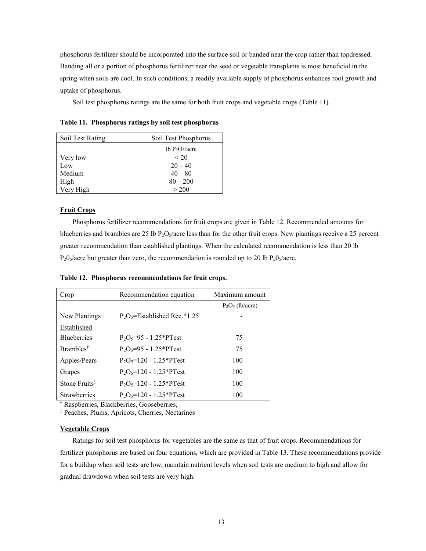phosphorus fertilizer should be incorporated into the surface soil or banded near the crop rather than topdressed. Banding all or a portion of phosphorus fertilizer near the seed or vegetable transplants is most beneficial in the spring when soils are cool. In such conditions, a readily available supply of phosphorus enhances root growth and uptake of phosphorus.

Soil test phosphorus ratings are the same for both fruit crops and vegetable crops (Table 11).

**Table 11. Phosphorus ratings by soil test phosphorus**

| Soil Test Rating | Soil Test Phosphorus                   |
|------------------|----------------------------------------|
|                  | 1b P <sub>2</sub> O <sub>5</sub> /acre |
| Very low         | < 20                                   |
| Low              | $20 - 40$                              |
| Medium           | $40 - 80$                              |
| High             | $80 - 200$                             |
| Very High        | > 200                                  |

## **Fruit Crops**

Phosphorus fertilizer recommendations for fruit crops are given in Table 12. Recommended amounts for blueberries and brambles are 25 lb  $P_2O_5/$ acre less than for the other fruit crops. New plantings receive a 25 percent greater recommendation than established plantings. When the calculated recommendation is less than 20 lb  $P_20_5/$  acre but greater than zero, the recommendation is rounded up to 20 lb  $P_20_5/$  acre.

**Table 12. Phosphorus recommendations for fruit crops.**

| Crop                      | Recommendation equation                  | Maximum amount     |
|---------------------------|------------------------------------------|--------------------|
|                           |                                          | $P_2O_5$ (lb/acre) |
| New Plantings             | $P_2O_5$ =Established Rec.*1.25          |                    |
| Established               |                                          |                    |
| <b>Blueberries</b>        | $P_2O_5 = 95 - 1.25*PTest$               | 75                 |
| Brambles <sup>†</sup>     | $P_2O_5 = 95 - 1.25$ <sup>*</sup> PTest  | 75                 |
| Apples/Pears              | $P_2O_5 = 120 - 1.25$ <sup>*</sup> PTest | 100                |
| Grapes                    | $P_2O_5 = 120 - 1.25*PTest$              | 100                |
| Stone Fruits <sup>‡</sup> | $P_2O_5 = 120 - 1.25*PTest$              | 100                |
| <b>Strawberries</b>       | $P_2O_5 = 120 - 1.25*PTest$              | 100                |

† Raspberries, Blackberries, Gooseberries,

‡ Peaches, Plums, Apricots, Cherries, Nectarines

#### **Vegetable Crops**

Ratings for soil test phosphorus for vegetables are the same as that of fruit crops. Recommendations for fertilizer phosphorus are based on four equations, which are provided in Table 13. These recommendations provide for a buildup when soil tests are low, maintain nutrient levels when soil tests are medium to high and allow for gradual drawdown when soil tests are very high.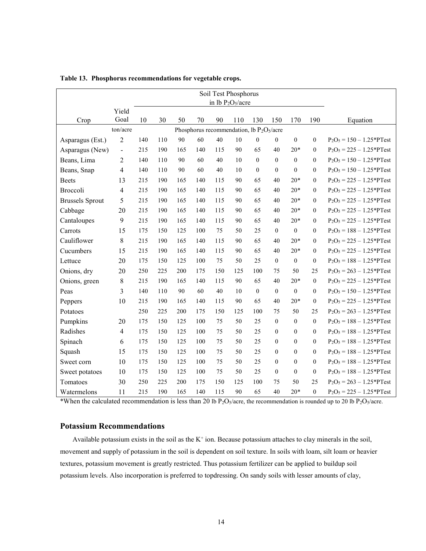| Soil Test Phosphorus<br>in lb $P_2O_5/a$ cre |                |     |     |     |     |     |     |                                              |                  |                  |                |                             |
|----------------------------------------------|----------------|-----|-----|-----|-----|-----|-----|----------------------------------------------|------------------|------------------|----------------|-----------------------------|
|                                              | Yield          |     |     |     |     |     |     |                                              |                  |                  |                |                             |
| Crop                                         | Goal           | 10  | 30  | 50  | 70  | 90  | 110 | 130                                          | 150              | 170              | 190            | Equation                    |
|                                              | ton/acre       |     |     |     |     |     |     | Phosphorus recommendation, lb $P_2O_5/a$ cre |                  |                  |                |                             |
| Asparagus (Est.)                             | $\overline{2}$ | 140 | 110 | 90  | 60  | 40  | 10  | $\boldsymbol{0}$                             | $\boldsymbol{0}$ | $\boldsymbol{0}$ | $\overline{0}$ | $P_2O_5 = 150 - 1.25*PTest$ |
| Asparagus (New)                              | $\frac{1}{2}$  | 215 | 190 | 165 | 140 | 115 | 90  | 65                                           | 40               | $20*$            | $\theta$       | $P_2O_5 = 225 - 1.25*PTest$ |
| Beans, Lima                                  | 2              | 140 | 110 | 90  | 60  | 40  | 10  | $\boldsymbol{0}$                             | $\theta$         | $\theta$         | $\theta$       | $P_2O_5 = 150 - 1.25*PTest$ |
| Beans, Snap                                  | 4              | 140 | 110 | 90  | 60  | 40  | 10  | $\overline{0}$                               | $\theta$         | $\mathbf{0}$     | $\Omega$       | $P_2O_5 = 150 - 1.25*PTest$ |
| <b>Beets</b>                                 | 13             | 215 | 190 | 165 | 140 | 115 | 90  | 65                                           | 40               | $20*$            | $\overline{0}$ | $P_2O_5 = 225 - 1.25*PTest$ |
| Broccoli                                     | 4              | 215 | 190 | 165 | 140 | 115 | 90  | 65                                           | 40               | $20*$            | $\overline{0}$ | $P_2O_5 = 225 - 1.25*PTest$ |
| <b>Brussels Sprout</b>                       | 5              | 215 | 190 | 165 | 140 | 115 | 90  | 65                                           | 40               | $20*$            | $\overline{0}$ | $P_2O_5 = 225 - 1.25*PTest$ |
| Cabbage                                      | 20             | 215 | 190 | 165 | 140 | 115 | 90  | 65                                           | 40               | $20*$            | $\theta$       | $P_2O_5 = 225 - 1.25*PTest$ |
| Cantaloupes                                  | 9              | 215 | 190 | 165 | 140 | 115 | 90  | 65                                           | 40               | $20*$            | $\mathbf{0}$   | $P_2O_5 = 225 - 1.25*PTest$ |
| Carrots                                      | 15             | 175 | 150 | 125 | 100 | 75  | 50  | 25                                           | $\theta$         | $\theta$         | $\overline{0}$ | $P_2O_5 = 188 - 1.25*PTest$ |
| Cauliflower                                  | 8              | 215 | 190 | 165 | 140 | 115 | 90  | 65                                           | 40               | $20*$            | $\theta$       | $P_2O_5 = 225 - 1.25*PTest$ |
| Cucumbers                                    | 15             | 215 | 190 | 165 | 140 | 115 | 90  | 65                                           | 40               | $20*$            | $\overline{0}$ | $P_2O_5 = 225 - 1.25*PTest$ |
| Lettuce                                      | 20             | 175 | 150 | 125 | 100 | 75  | 50  | 25                                           | $\boldsymbol{0}$ | $\boldsymbol{0}$ | $\overline{0}$ | $P_2O_5 = 188 - 1.25*PTest$ |
| Onions, dry                                  | 20             | 250 | 225 | 200 | 175 | 150 | 125 | 100                                          | 75               | 50               | 25             | $P_2O_5 = 263 - 1.25*PTest$ |
| Onions, green                                | 8              | 215 | 190 | 165 | 140 | 115 | 90  | 65                                           | 40               | $20*$            | $\theta$       | $P_2O_5 = 225 - 1.25*PTest$ |
| Peas                                         | 3              | 140 | 110 | 90  | 60  | 40  | 10  | $\theta$                                     | $\theta$         | $\theta$         | $\theta$       | $P_2O_5 = 150 - 1.25*PTest$ |
| Peppers                                      | 10             | 215 | 190 | 165 | 140 | 115 | 90  | 65                                           | 40               | $20*$            | $\mathbf{0}$   | $P_2O_5 = 225 - 1.25*PTest$ |
| Potatoes                                     |                | 250 | 225 | 200 | 175 | 150 | 125 | 100                                          | 75               | 50               | 25             | $P_2O_5 = 263 - 1.25*PTest$ |
| Pumpkins                                     | 20             | 175 | 150 | 125 | 100 | 75  | 50  | 25                                           | $\mathbf{0}$     | $\mathbf{0}$     | $\overline{0}$ | $P_2O_5 = 188 - 1.25*PTest$ |
| Radishes                                     | $\overline{4}$ | 175 | 150 | 125 | 100 | 75  | 50  | 25                                           | $\theta$         | $\mathbf{0}$     | $\overline{0}$ | $P_2O_5 = 188 - 1.25*PTest$ |
| Spinach                                      | 6              | 175 | 150 | 125 | 100 | 75  | 50  | 25                                           | $\theta$         | $\theta$         | $\overline{0}$ | $P_2O_5 = 188 - 1.25*PTest$ |
| Squash                                       | 15             | 175 | 150 | 125 | 100 | 75  | 50  | 25                                           | $\theta$         | $\boldsymbol{0}$ | $\overline{0}$ | $P_2O_5 = 188 - 1.25*PTest$ |
| Sweet corn                                   | 10             | 175 | 150 | 125 | 100 | 75  | 50  | 25                                           | $\theta$         | $\mathbf{0}$     | $\overline{0}$ | $P_2O_5 = 188 - 1.25*PTest$ |
| Sweet potatoes                               | 10             | 175 | 150 | 125 | 100 | 75  | 50  | 25                                           | $\theta$         | $\mathbf{0}$     | $\overline{0}$ | $P_2O_5 = 188 - 1.25*PTest$ |
| Tomatoes                                     | 30             | 250 | 225 | 200 | 175 | 150 | 125 | 100                                          | 75               | 50               | 25             | $P_2O_5 = 263 - 1.25*PTest$ |
| Watermelons                                  | 11             | 215 | 190 | 165 | 140 | 115 | 90  | 65                                           | 40               | $20*$            | $\overline{0}$ | $P_2O_5 = 225 - 1.25*PTest$ |

|  |  | Table 13. Phosphorus recommendations for vegetable crops. |  |  |
|--|--|-----------------------------------------------------------|--|--|
|--|--|-----------------------------------------------------------|--|--|

\*When the calculated recommendation is less than 20 lb  $P_2O_5/$  acre, the recommendation is rounded up to 20 lb  $P_2O_5/$  acre.

# **Potassium Recommendations**

Available potassium exists in the soil as the  $K^+$  ion. Because potassium attaches to clay minerals in the soil, movement and supply of potassium in the soil is dependent on soil texture. In soils with loam, silt loam or heavier textures, potassium movement is greatly restricted. Thus potassium fertilizer can be applied to buildup soil potassium levels. Also incorporation is preferred to topdressing. On sandy soils with lesser amounts of clay,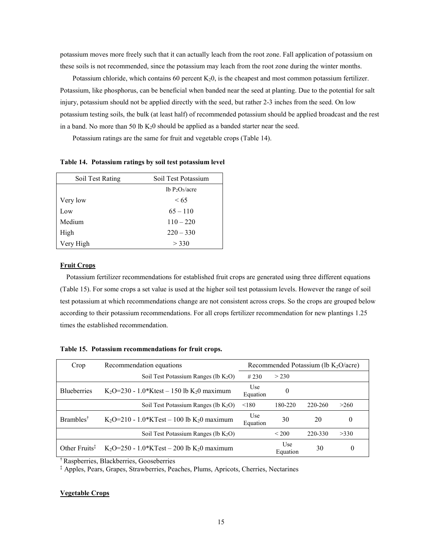potassium moves more freely such that it can actually leach from the root zone. Fall application of potassium on these soils is not recommended, since the potassium may leach from the root zone during the winter months.

Potassium chloride, which contains 60 percent  $K_2$ 0, is the cheapest and most common potassium fertilizer. Potassium, like phosphorus, can be beneficial when banded near the seed at planting. Due to the potential for salt injury, potassium should not be applied directly with the seed, but rather 2-3 inches from the seed. On low potassium testing soils, the bulk (at least half) of recommended potassium should be applied broadcast and the rest in a band. No more than 50 lb  $K_2$ 0 should be applied as a banded starter near the seed.

Potassium ratings are the same for fruit and vegetable crops (Table 14).

**Table 14. Potassium ratings by soil test potassium level**

| Soil Test Rating | Soil Test Potassium |
|------------------|---------------------|
|                  | lb $P_2O_5/a$ cre   |
| Very low         | < 65                |
| Low              | $65 - 110$          |
| Medium           | $110 - 220$         |
| High             | $220 - 330$         |
| Very High        | > 330               |

#### **Fruit Crops**

Potassium fertilizer recommendations for established fruit crops are generated using three different equations (Table 15). For some crops a set value is used at the higher soil test potassium levels. However the range of soil test potassium at which recommendations change are not consistent across crops. So the crops are grouped below according to their potassium recommendations. For all crops fertilizer recommendation for new plantings 1.25 times the established recommendation.

|  |  | Table 15. Potassium recommendations for fruit crops. |  |  |  |
|--|--|------------------------------------------------------|--|--|--|
|--|--|------------------------------------------------------|--|--|--|

| Crop                       | Recommendation equations                                           | Recommended Potassium (lb $K_2O/(\text{acc})$ |                  |         |          |  |
|----------------------------|--------------------------------------------------------------------|-----------------------------------------------|------------------|---------|----------|--|
|                            | Soil Test Potassium Ranges ( $lb$ K <sub>2</sub> O)                | #230                                          | > 230            |         |          |  |
| <b>Blueberries</b>         | K <sub>2</sub> O=230 - 1.0*Ktest – 150 lb K <sub>2</sub> 0 maximum | Use<br>Equation                               | $\boldsymbol{0}$ |         |          |  |
|                            | Soil Test Potassium Ranges ( $lb$ K <sub>2</sub> O)                | < 180                                         | 180-220          | 220-260 | >260     |  |
| Brambles <sup>†</sup>      | K <sub>2</sub> O=210 - 1.0*KTest – 100 lb K <sub>2</sub> 0 maximum | Use<br>Equation                               | 30               | 20      | 0        |  |
|                            | Soil Test Potassium Ranges ( $lb$ K <sub>2</sub> O)                |                                               | ${}_{200}$       | 220-330 | >330     |  |
| Other Fruits $\frac{1}{2}$ | K <sub>2</sub> O=250 - 1.0*KTest – 200 lb K <sub>2</sub> 0 maximum |                                               | Use<br>Equation  | 30      | $\theta$ |  |

† Raspberries, Blackberries, Gooseberries

‡ Apples, Pears, Grapes, Strawberries, Peaches, Plums, Apricots, Cherries, Nectarines

## **Vegetable Crops**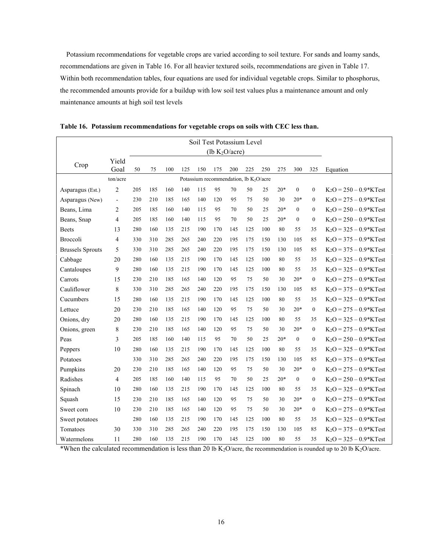Potassium recommendations for vegetable crops are varied according to soil texture. For sands and loamy sands, recommendations are given in Table 16. For all heavier textured soils, recommendations are given in Table 17. Within both recommendation tables, four equations are used for individual vegetable crops. Similar to phosphorus, the recommended amounts provide for a buildup with low soil test values plus a maintenance amount and only maintenance amounts at high soil test levels

| Soil Test Potassium Level |                |     |     |     |     |     |                                                    |     |     |     |       |                  |              |                          |
|---------------------------|----------------|-----|-----|-----|-----|-----|----------------------------------------------------|-----|-----|-----|-------|------------------|--------------|--------------------------|
|                           |                |     |     |     |     |     | (lb $K_2O/acre$ )                                  |     |     |     |       |                  |              |                          |
| Crop                      | Yield          |     |     |     |     |     |                                                    |     |     |     |       |                  |              |                          |
|                           | Goal           | 50  | 75  | 100 | 125 | 150 | 175                                                | 200 | 225 | 250 | 275   | 300              | 325          | Equation                 |
|                           | ton/acre       |     |     |     |     |     | Potassium recommendation, lb K <sub>2</sub> O/acre |     |     |     |       |                  |              |                          |
| Asparagus (Est.)          | $\overline{2}$ | 205 | 185 | 160 | 140 | 115 | 95                                                 | 70  | 50  | 25  | $20*$ | $\mathbf{0}$     | $\mathbf{0}$ | $K_2O = 250 - 0.9*KTest$ |
| Asparagus (New)           | $\blacksquare$ | 230 | 210 | 185 | 165 | 140 | 120                                                | 95  | 75  | 50  | 30    | $20*$            | $\mathbf{0}$ | $K_2O = 275 - 0.9*KTest$ |
| Beans, Lima               | $\overline{2}$ | 205 | 185 | 160 | 140 | 115 | 95                                                 | 70  | 50  | 25  | $20*$ | $\boldsymbol{0}$ | $\mathbf{0}$ | $K_2O = 250 - 0.9*KTest$ |
| Beans, Snap               | 4              | 205 | 185 | 160 | 140 | 115 | 95                                                 | 70  | 50  | 25  | $20*$ | $\mathbf{0}$     | $\mathbf{0}$ | $K_2O = 250 - 0.9*KTest$ |
| <b>Beets</b>              | 13             | 280 | 160 | 135 | 215 | 190 | 170                                                | 145 | 125 | 100 | 80    | 55               | 35           | $K_2O = 325 - 0.9*KTest$ |
| Broccoli                  | $\overline{4}$ | 330 | 310 | 285 | 265 | 240 | 220                                                | 195 | 175 | 150 | 130   | 105              | 85           | $K_2O = 375 - 0.9*KTest$ |
| <b>Brussels Sprouts</b>   | 5              | 330 | 310 | 285 | 265 | 240 | 220                                                | 195 | 175 | 150 | 130   | 105              | 85           | $K_2O = 375 - 0.9*KTest$ |
| Cabbage                   | 20             | 280 | 160 | 135 | 215 | 190 | 170                                                | 145 | 125 | 100 | 80    | 55               | 35           | $K_2O = 325 - 0.9*KTest$ |
| Cantaloupes               | 9              | 280 | 160 | 135 | 215 | 190 | 170                                                | 145 | 125 | 100 | 80    | 55               | 35           | $K_2O = 325 - 0.9*KTest$ |
| Carrots                   | 15             | 230 | 210 | 185 | 165 | 140 | 120                                                | 95  | 75  | 50  | 30    | $20*$            | $\mathbf{0}$ | $K_2O = 275 - 0.9*KTest$ |
| Cauliflower               | 8              | 330 | 310 | 285 | 265 | 240 | 220                                                | 195 | 175 | 150 | 130   | 105              | 85           | $K_2O = 375 - 0.9*KTest$ |
| Cucumbers                 | 15             | 280 | 160 | 135 | 215 | 190 | 170                                                | 145 | 125 | 100 | 80    | 55               | 35           | $K_2O = 325 - 0.9*KTest$ |
| Lettuce                   | 20             | 230 | 210 | 185 | 165 | 140 | 120                                                | 95  | 75  | 50  | 30    | $20*$            | $\mathbf{0}$ | $K_2O = 275 - 0.9*KTest$ |
| Onions, dry               | 20             | 280 | 160 | 135 | 215 | 190 | 170                                                | 145 | 125 | 100 | 80    | 55               | 35           | $K_2O = 325 - 0.9*KTest$ |
| Onions, green             | 8              | 230 | 210 | 185 | 165 | 140 | 120                                                | 95  | 75  | 50  | 30    | $20*$            | $\mathbf{0}$ | $K_2O = 275 - 0.9*KTest$ |
| Peas                      | 3              | 205 | 185 | 160 | 140 | 115 | 95                                                 | 70  | 50  | 25  | $20*$ | $\boldsymbol{0}$ | $\mathbf{0}$ | $K_2O = 250 - 0.9*KTest$ |
| Peppers                   | 10             | 280 | 160 | 135 | 215 | 190 | 170                                                | 145 | 125 | 100 | 80    | 55               | 35           | $K_2O = 325 - 0.9*KTest$ |
| Potatoes                  |                | 330 | 310 | 285 | 265 | 240 | 220                                                | 195 | 175 | 150 | 130   | 105              | 85           | $K_2O = 375 - 0.9*KTest$ |
| Pumpkins                  | 20             | 230 | 210 | 185 | 165 | 140 | 120                                                | 95  | 75  | 50  | 30    | $20*$            | $\mathbf{0}$ | $K_2O = 275 - 0.9*KTest$ |
| Radishes                  | 4              | 205 | 185 | 160 | 140 | 115 | 95                                                 | 70  | 50  | 25  | $20*$ | $\boldsymbol{0}$ | $\mathbf{0}$ | $K_2O = 250 - 0.9*KTest$ |
| Spinach                   | 10             | 280 | 160 | 135 | 215 | 190 | 170                                                | 145 | 125 | 100 | 80    | 55               | 35           | $K_2O = 325 - 0.9*KTest$ |
| Squash                    | 15             | 230 | 210 | 185 | 165 | 140 | 120                                                | 95  | 75  | 50  | 30    | $20*$            | $\theta$     | $K_2O = 275 - 0.9*KTest$ |
| Sweet corn                | 10             | 230 | 210 | 185 | 165 | 140 | 120                                                | 95  | 75  | 50  | 30    | $20*$            | $\mathbf{0}$ | $K_2O = 275 - 0.9*KTest$ |
| Sweet potatoes            |                | 280 | 160 | 135 | 215 | 190 | 170                                                | 145 | 125 | 100 | 80    | 55               | 35           | $K_2O = 325 - 0.9*KTest$ |
| Tomatoes                  | 30             | 330 | 310 | 285 | 265 | 240 | 220                                                | 195 | 175 | 150 | 130   | 105              | 85           | $K_2O = 375 - 0.9*KTest$ |
| Watermelons               | 11             | 280 | 160 | 135 | 215 | 190 | 170                                                | 145 | 125 | 100 | 80    | 55               | 35           | $K_2O = 325 - 0.9*KTest$ |

**Table 16. Potassium recommendations for vegetable crops on soils with CEC less than.**

\*When the calculated recommendation is less than 20 lb  $K_2O$ /acre, the recommendation is rounded up to 20 lb  $K_2O$ /acre.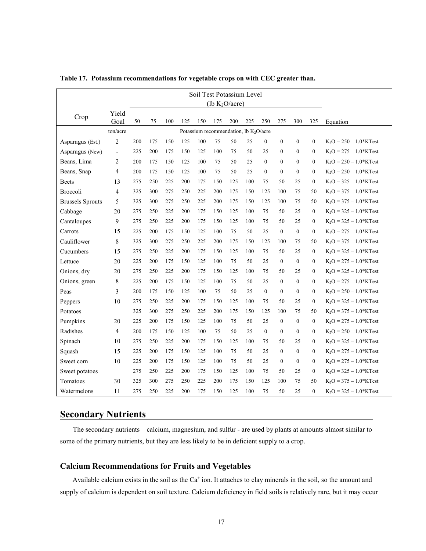|                         | Soil Test Potassium Level |     |     |     |     |                                                    |                   |     |     |                  |                  |                  |                  |                          |
|-------------------------|---------------------------|-----|-----|-----|-----|----------------------------------------------------|-------------------|-----|-----|------------------|------------------|------------------|------------------|--------------------------|
|                         |                           |     |     |     |     |                                                    | (lb $K_2O/acre$ ) |     |     |                  |                  |                  |                  |                          |
| Crop                    | Yield<br>Goal             | 50  | 75  | 100 | 125 | 150                                                | 175               | 200 | 225 | 250              | 275              | 300              | 325              |                          |
|                         | ton/acre                  |     |     |     |     | Potassium recommendation, lb K <sub>2</sub> O/acre |                   |     |     |                  |                  |                  |                  | Equation                 |
| Asparagus (Est.)        | 2                         | 200 | 175 | 150 | 125 | 100                                                | 75                | 50  | 25  | $\overline{0}$   | $\mathbf{0}$     | $\mathbf{0}$     | $\mathbf{0}$     | $K_2O = 250 - 1.0*KTest$ |
| Asparagus (New)         | $\overline{\phantom{a}}$  | 225 | 200 | 175 | 150 | 125                                                | 100               | 75  | 50  | 25               | $\mathbf{0}$     | $\boldsymbol{0}$ | $\mathbf{0}$     | $K_2O = 275 - 1.0*KTest$ |
| Beans, Lima             | 2                         | 200 | 175 | 150 | 125 | 100                                                | 75                | 50  | 25  | $\mathbf{0}$     | $\boldsymbol{0}$ | 0                | $\mathbf{0}$     | $K_2O = 250 - 1.0*KTest$ |
| Beans, Snap             | 4                         | 200 | 175 | 150 | 125 | 100                                                | 75                | 50  | 25  | $\boldsymbol{0}$ | $\boldsymbol{0}$ | $\boldsymbol{0}$ | $\mathbf{0}$     | $K_2O = 250 - 1.0*KTest$ |
| <b>Beets</b>            | 13                        | 275 | 250 | 225 | 200 | 175                                                | 150               | 125 | 100 | 75               | 50               | 25               | $\boldsymbol{0}$ | $K_2O = 325 - 1.0*KTest$ |
| Broccoli                | 4                         | 325 | 300 | 275 | 250 | 225                                                | 200               | 175 | 150 | 125              | 100              | 75               | 50               | $K_2O = 375 - 1.0*KTest$ |
| <b>Brussels Sprouts</b> | 5                         | 325 | 300 | 275 | 250 | 225                                                | 200               | 175 | 150 | 125              | 100              | 75               | 50               | $K_2O = 375 - 1.0*KTest$ |
| Cabbage                 | 20                        | 275 | 250 | 225 | 200 | 175                                                | 150               | 125 | 100 | 75               | 50               | 25               | $\mathbf{0}$     | $K_2O = 325 - 1.0*KTest$ |
| Cantaloupes             | 9                         | 275 | 250 | 225 | 200 | 175                                                | 150               | 125 | 100 | 75               | 50               | 25               | $\mathbf{0}$     | $K_2O = 325 - 1.0*KTest$ |
| Carrots                 | 15                        | 225 | 200 | 175 | 150 | 125                                                | 100               | 75  | 50  | 25               | $\mathbf{0}$     | $\boldsymbol{0}$ | $\mathbf{0}$     | $K_2O = 275 - 1.0*KTest$ |
| Cauliflower             | 8                         | 325 | 300 | 275 | 250 | 225                                                | 200               | 175 | 150 | 125              | 100              | 75               | 50               | $K_2O = 375 - 1.0*KTest$ |
| Cucumbers               | 15                        | 275 | 250 | 225 | 200 | 175                                                | 150               | 125 | 100 | 75               | 50               | 25               | $\mathbf{0}$     | $K_2O = 325 - 1.0*KTest$ |
| Lettuce                 | 20                        | 225 | 200 | 175 | 150 | 125                                                | 100               | 75  | 50  | 25               | $\boldsymbol{0}$ | $\boldsymbol{0}$ | $\mathbf{0}$     | $K_2O = 275 - 1.0*KTest$ |
| Onions, dry             | 20                        | 275 | 250 | 225 | 200 | 175                                                | 150               | 125 | 100 | 75               | 50               | 25               | $\mathbf{0}$     | $K_2O = 325 - 1.0*KTest$ |
| Onions, green           | 8                         | 225 | 200 | 175 | 150 | 125                                                | 100               | 75  | 50  | 25               | $\boldsymbol{0}$ | $\boldsymbol{0}$ | $\mathbf{0}$     | $K_2O = 275 - 1.0*KTest$ |
| Peas                    | 3                         | 200 | 175 | 150 | 125 | 100                                                | 75                | 50  | 25  | $\overline{0}$   | $\boldsymbol{0}$ | $\boldsymbol{0}$ | $\mathbf{0}$     | $K_2O = 250 - 1.0*KTest$ |
| Peppers                 | 10                        | 275 | 250 | 225 | 200 | 175                                                | 150               | 125 | 100 | 75               | 50               | 25               | $\mathbf{0}$     | $K_2O = 325 - 1.0*KTest$ |
| Potatoes                |                           | 325 | 300 | 275 | 250 | 225                                                | 200               | 175 | 150 | 125              | 100              | 75               | 50               | $K_2O = 375 - 1.0*KTest$ |
| Pumpkins                | 20                        | 225 | 200 | 175 | 150 | 125                                                | 100               | 75  | 50  | 25               | $\mathbf{0}$     | $\boldsymbol{0}$ | $\mathbf{0}$     | $K_2O = 275 - 1.0*KTest$ |
| Radishes                | $\overline{4}$            | 200 | 175 | 150 | 125 | 100                                                | 75                | 50  | 25  | $\mathbf{0}$     | $\mathbf{0}$     | $\mathbf{0}$     | $\mathbf{0}$     | $K_2O = 250 - 1.0*KTest$ |
| Spinach                 | 10                        | 275 | 250 | 225 | 200 | 175                                                | 150               | 125 | 100 | 75               | 50               | 25               | $\mathbf{0}$     | $K_2O = 325 - 1.0*KTest$ |
| Squash                  | 15                        | 225 | 200 | 175 | 150 | 125                                                | 100               | 75  | 50  | 25               | $\mathbf{0}$     | $\boldsymbol{0}$ | $\mathbf{0}$     | $K_2O = 275 - 1.0*KTest$ |
| Sweet corn              | 10                        | 225 | 200 | 175 | 150 | 125                                                | 100               | 75  | 50  | 25               | $\boldsymbol{0}$ | $\boldsymbol{0}$ | $\mathbf{0}$     | $K_2O = 275 - 1.0*KTest$ |
| Sweet potatoes          |                           | 275 | 250 | 225 | 200 | 175                                                | 150               | 125 | 100 | 75               | 50               | 25               | $\boldsymbol{0}$ | $K_2O = 325 - 1.0*KTest$ |
| Tomatoes                | 30                        | 325 | 300 | 275 | 250 | 225                                                | 200               | 175 | 150 | 125              | 100              | 75               | 50               | $K_2O = 375 - 1.0*KTest$ |
| Watermelons             | 11                        | 275 | 250 | 225 | 200 | 175                                                | 150               | 125 | 100 | 75               | 50               | 25               | $\mathbf{0}$     | $K_2O = 325 - 1.0*KTest$ |

**Table 17. Potassium recommendations for vegetable crops on with CEC greater than.**

# **Secondary Nutrients**

The secondary nutrients – calcium, magnesium, and sulfur - are used by plants at amounts almost similar to some of the primary nutrients, but they are less likely to be in deficient supply to a crop.

# **Calcium Recommendations for Fruits and Vegetables**

Available calcium exists in the soil as the  $Ca<sup>+</sup>$  ion. It attaches to clay minerals in the soil, so the amount and supply of calcium is dependent on soil texture. Calcium deficiency in field soils is relatively rare, but it may occur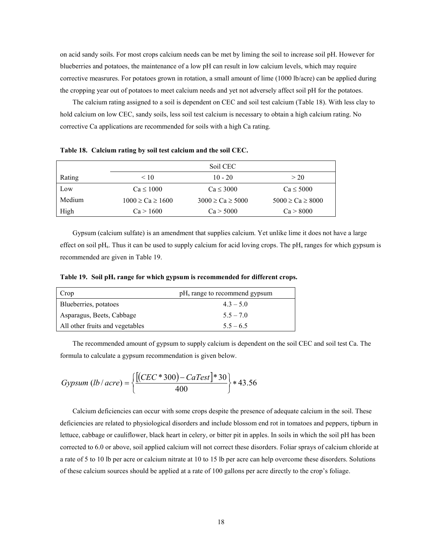on acid sandy soils. For most crops calcium needs can be met by liming the soil to increase soil pH. However for blueberries and potatoes, the maintenance of a low pH can result in low calcium levels, which may require corrective measrures. For potatoes grown in rotation, a small amount of lime (1000 lb/acre) can be applied during the cropping year out of potatoes to meet calcium needs and yet not adversely affect soil pH for the potatoes.

The calcium rating assigned to a soil is dependent on CEC and soil test calcium (Table 18). With less clay to hold calcium on low CEC, sandy soils, less soil test calcium is necessary to obtain a high calcium rating. No corrective Ca applications are recommended for soils with a high Ca rating.

|        |                          | Soil CEC                 |                          |
|--------|--------------------------|--------------------------|--------------------------|
| Rating | < 10                     | $10 - 20$                | > 20                     |
| Low    | $Ca \leq 1000$           | $Ca \leq 3000$           | $Ca \leq 5000$           |
| Medium | $1000 \geq Ca \geq 1600$ | $3000 \geq Ca \geq 5000$ | $5000 \geq Ca \geq 8000$ |
| High   | Ca > 1600                | Ca > 5000                | Ca > 8000                |

**Table 18. Calcium rating by soil test calcium and the soil CEC.**

Gypsum (calcium sulfate) is an amendment that supplies calcium. Yet unlike lime it does not have a large effect on soil pHs. Thus it can be used to supply calcium for acid loving crops. The pHs ranges for which gypsum is recommended are given in Table 19.

**Table 19. Soil pHs range for which gypsum is recommended for different crops.**

| Crop                            | pH <sub>s</sub> range to recommend gypsum |
|---------------------------------|-------------------------------------------|
| Blueberries, potatoes           | $4.3 - 5.0$                               |
| Asparagus, Beets, Cabbage       | $5.5 - 7.0$                               |
| All other fruits and vegetables | $5.5 - 6.5$                               |

The recommended amount of gypsum to supply calcium is dependent on the soil CEC and soil test Ca. The formula to calculate a gypsum recommendation is given below.

Gypsum (lb/ acre) = 
$$
\left\{ \frac{\left[ (CEC * 300) - CaTest \right] * 30}{400} \right\} * 43.56
$$

Calcium deficiencies can occur with some crops despite the presence of adequate calcium in the soil. These deficiencies are related to physiological disorders and include blossom end rot in tomatoes and peppers, tipburn in lettuce, cabbage or cauliflower, black heart in celery, or bitter pit in apples. In soils in which the soil pH has been corrected to 6.0 or above, soil applied calcium will not correct these disorders. Foliar sprays of calcium chloride at a rate of 5 to 10 lb per acre or calcium nitrate at 10 to 15 lb per acre can help overcome these disorders. Solutions of these calcium sources should be applied at a rate of 100 gallons per acre directly to the crop's foliage.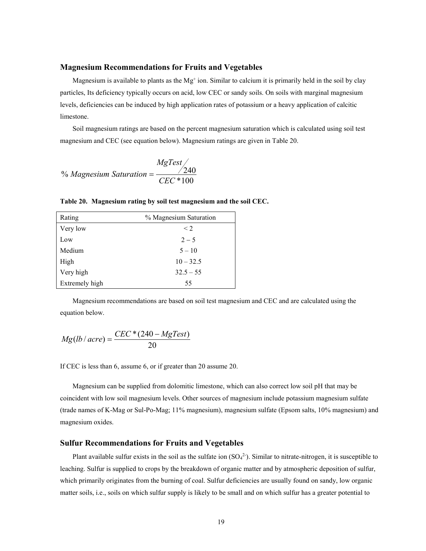#### **Magnesium Recommendations for Fruits and Vegetables**

Magnesium is available to plants as the  $Mg^+$  ion. Similar to calcium it is primarily held in the soil by clay particles, Its deficiency typically occurs on acid, low CEC or sandy soils. On soils with marginal magnesium levels, deficiencies can be induced by high application rates of potassium or a heavy application of calcitic limestone.

Soil magnesium ratings are based on the percent magnesium saturation which is calculated using soil test magnesium and CEC (see equation below). Magnesium ratings are given in Table 20.

$$
\% Magnesium\ Saturation = \frac{MgTest}{CEC*100}
$$

**Table 20. Magnesium rating by soil test magnesium and the soil CEC.**

| Rating         | % Magnesium Saturation |
|----------------|------------------------|
| Very low       | $\leq$ 2.              |
| Low            | $2 - 5$                |
| Medium         | $5 - 10$               |
| High           | $10 - 32.5$            |
| Very high      | $32.5 - 55$            |
| Extremely high | 55                     |

Magnesium recommendations are based on soil test magnesium and CEC and are calculated using the equation below.

$$
Mg(lb/acre) = \frac{CEC*(240 - MgTest)}{20}
$$

If CEC is less than 6, assume 6, or if greater than 20 assume 20.

Magnesium can be supplied from dolomitic limestone, which can also correct low soil pH that may be coincident with low soil magnesium levels. Other sources of magnesium include potassium magnesium sulfate (trade names of K-Mag or Sul-Po-Mag; 11% magnesium), magnesium sulfate (Epsom salts, 10% magnesium) and magnesium oxides.

#### **Sulfur Recommendations for Fruits and Vegetables**

Plant available sulfur exists in the soil as the sulfate ion  $(SO<sub>4</sub><sup>2</sup>)$ . Similar to nitrate-nitrogen, it is susceptible to leaching. Sulfur is supplied to crops by the breakdown of organic matter and by atmospheric deposition of sulfur, which primarily originates from the burning of coal. Sulfur deficiencies are usually found on sandy, low organic matter soils, i.e., soils on which sulfur supply is likely to be small and on which sulfur has a greater potential to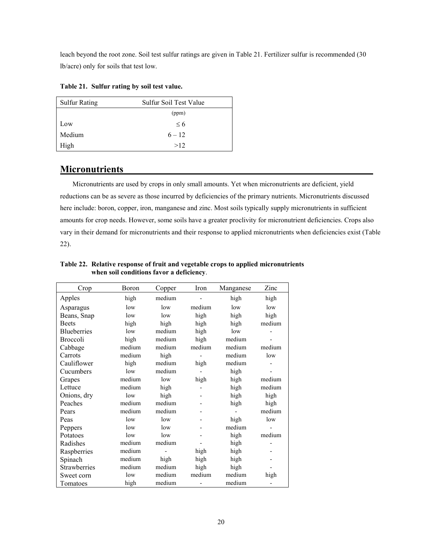leach beyond the root zone. Soil test sulfur ratings are given in Table 21. Fertilizer sulfur is recommended (30 lb/acre) only for soils that test low.

| <b>Sulfur Rating</b> | Sulfur Soil Test Value |
|----------------------|------------------------|
|                      | (ppm)                  |
| Low                  | $\leq 6$               |
| Medium               | $6 - 12$               |
| High                 | >12                    |

# **Micronutrients**

Micronutrients are used by crops in only small amounts. Yet when micronutrients are deficient, yield reductions can be as severe as those incurred by deficiencies of the primary nutrients. Micronutrients discussed here include: boron, copper, iron, manganese and zinc. Most soils typically supply micronutrients in sufficient amounts for crop needs. However, some soils have a greater proclivity for micronutrient deficiencies. Crops also vary in their demand for micronutrients and their response to applied micronutrients when deficiencies exist (Table 22).

| Crop               | Boron  | Copper | Iron   | Manganese | Zinc   |
|--------------------|--------|--------|--------|-----------|--------|
| Apples             | high   | medium |        | high      | high   |
| Asparagus          | low    | low    | medium | low       | low    |
| Beans, Snap        | low    | low    | high   | high      | high   |
| <b>Beets</b>       | high   | high   | high   | high      | medium |
| <b>Blueberries</b> | low    | medium | high   | low       |        |
| Broccoli           | high   | medium | high   | medium    |        |
| Cabbage            | medium | medium | medium | medium    | medium |
| Carrots            | medium | high   |        | medium    | low    |
| Cauliflower        | high   | medium | high   | medium    |        |
| Cucumbers          | low    | medium |        | high      |        |
| Grapes             | medium | low    | high   | high      | medium |
| Lettuce            | medium | high   |        | high      | medium |
| Onions, dry        | low    | high   |        | high      | high   |
| Peaches            | medium | medium |        | high      | high   |
| Pears              | medium | medium |        |           | medium |
| Peas               | low    | low    |        | high      | low    |
| Peppers            | low    | low    |        | medium    |        |
| Potatoes           | low    | low    |        | high      | medium |
| Radishes           | medium | medium |        | high      |        |
| Raspberries        | medium |        | high   | high      |        |
| Spinach            | medium | high   | high   | high      |        |
| Strawberries       | medium | medium | high   | high      |        |
| Sweet corn         | low    | medium | medium | medium    | high   |
| Tomatoes           | high   | medium |        | medium    |        |

**Table 22. Relative response of fruit and vegetable crops to applied micronutrients when soil conditions favor a deficiency**.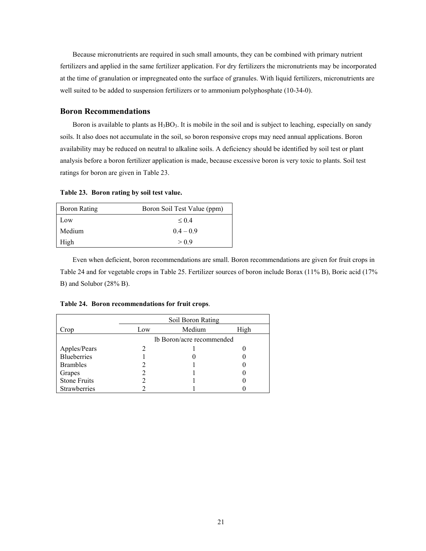Because micronutrients are required in such small amounts, they can be combined with primary nutrient fertilizers and applied in the same fertilizer application. For dry fertilizers the micronutrients may be incorporated at the time of granulation or impregneated onto the surface of granules. With liquid fertilizers, micronutrients are well suited to be added to suspension fertilizers or to ammonium polyphosphate (10-34-0).

## **Boron Recommendations**

Boron is available to plants as  $H_3BO_3$ . It is mobile in the soil and is subject to leaching, especially on sandy soils. It also does not accumulate in the soil, so boron responsive crops may need annual applications. Boron availability may be reduced on neutral to alkaline soils. A deficiency should be identified by soil test or plant analysis before a boron fertilizer application is made, because excessive boron is very toxic to plants. Soil test ratings for boron are given in Table 23.

**Table 23. Boron rating by soil test value.**

| <b>Boron Rating</b> | Boron Soil Test Value (ppm) |
|---------------------|-----------------------------|
| Low                 | $\leq 0.4$                  |
| Medium              | $0.4 - 0.9$                 |
| High                | > 0.9                       |

Even when deficient, boron recommendations are small. Boron recommendations are given for fruit crops in Table 24 and for vegetable crops in Table 25. Fertilizer sources of boron include Borax (11% B), Boric acid (17% B) and Solubor (28% B).

|                     | Soil Boron Rating |                           |      |  |  |  |  |  |
|---------------------|-------------------|---------------------------|------|--|--|--|--|--|
| Crop                | Low               | Medium                    | High |  |  |  |  |  |
|                     |                   | lb Boron/acre recommended |      |  |  |  |  |  |
| Apples/Pears        |                   |                           |      |  |  |  |  |  |
| <b>Blueberries</b>  |                   |                           |      |  |  |  |  |  |
| <b>Brambles</b>     |                   |                           |      |  |  |  |  |  |
| Grapes              |                   |                           |      |  |  |  |  |  |
| <b>Stone Fruits</b> |                   |                           |      |  |  |  |  |  |
| Strawberries        |                   |                           |      |  |  |  |  |  |

**Table 24. Boron recommendations for fruit crops**.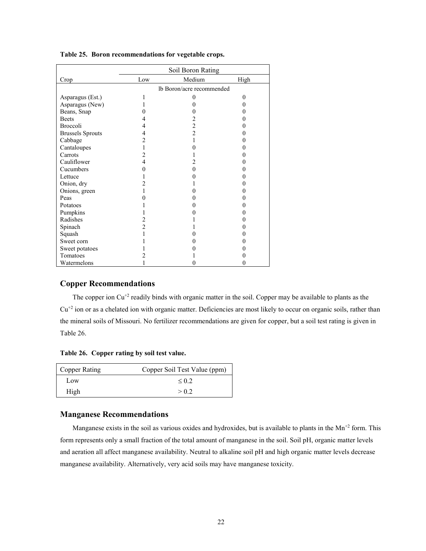|                         | Soil Boron Rating         |                |      |  |  |  |  |
|-------------------------|---------------------------|----------------|------|--|--|--|--|
| Crop                    | Low                       | Medium         | High |  |  |  |  |
|                         | lb Boron/acre recommended |                |      |  |  |  |  |
| Asparagus (Est.)        |                           | $\theta$       | 0    |  |  |  |  |
| Asparagus (New)         |                           |                | 0    |  |  |  |  |
| Beans, Snap             |                           |                |      |  |  |  |  |
| <b>Beets</b>            |                           |                |      |  |  |  |  |
| <b>Broccoli</b>         |                           | $\overline{c}$ |      |  |  |  |  |
| <b>Brussels Sprouts</b> | 4                         | $\overline{2}$ |      |  |  |  |  |
| Cabbage                 | 2                         |                |      |  |  |  |  |
| Cantaloupes             |                           |                |      |  |  |  |  |
| Carrots                 | 2                         |                |      |  |  |  |  |
| Cauliflower             | 4                         |                |      |  |  |  |  |
| Cucumbers               |                           | 0              |      |  |  |  |  |
| Lettuce                 |                           |                |      |  |  |  |  |
| Onion, dry              |                           |                |      |  |  |  |  |
| Onions, green           |                           |                |      |  |  |  |  |
| Peas                    |                           |                |      |  |  |  |  |
| Potatoes                |                           |                |      |  |  |  |  |
| Pumpkins                |                           |                |      |  |  |  |  |
| Radishes                | 2                         |                |      |  |  |  |  |
| Spinach                 | $\overline{2}$            |                |      |  |  |  |  |
| Squash                  |                           |                |      |  |  |  |  |
| Sweet corn              |                           |                |      |  |  |  |  |
| Sweet potatoes          |                           |                |      |  |  |  |  |
| Tomatoes                |                           |                |      |  |  |  |  |
| Watermelons             |                           | 0              |      |  |  |  |  |

**Table 25. Boron recommendations for vegetable crops.**

# **Copper Recommendations**

The copper ion  $Cu^{+2}$  readily binds with organic matter in the soil. Copper may be available to plants as the  $Cu<sup>+2</sup>$  ion or as a chelated ion with organic matter. Deficiencies are most likely to occur on organic soils, rather than the mineral soils of Missouri. No fertilizer recommendations are given for copper, but a soil test rating is given in Table 26.

**Table 26. Copper rating by soil test value.**

| Copper Rating | Copper Soil Test Value (ppm) |
|---------------|------------------------------|
| Low           | $\leq 0.2$                   |
| High          | > 0.2                        |

# **Manganese Recommendations**

Manganese exists in the soil as various oxides and hydroxides, but is available to plants in the Mn<sup>+2</sup> form. This form represents only a small fraction of the total amount of manganese in the soil. Soil pH, organic matter levels and aeration all affect manganese availability. Neutral to alkaline soil pH and high organic matter levels decrease manganese availability. Alternatively, very acid soils may have manganese toxicity.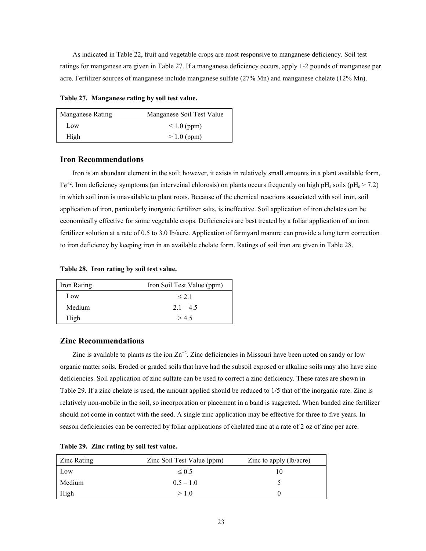As indicated in Table 22, fruit and vegetable crops are most responsive to manganese deficiency. Soil test ratings for manganese are given in Table 27. If a manganese deficiency occurs, apply 1-2 pounds of manganese per acre. Fertilizer sources of manganese include manganese sulfate (27% Mn) and manganese chelate (12% Mn).

**Table 27. Manganese rating by soil test value.**

| Manganese Rating | Manganese Soil Test Value |
|------------------|---------------------------|
| Low              | $\leq 1.0$ (ppm)          |
| High             | $>1.0$ (ppm)              |

#### **Iron Recommendations**

Iron is an abundant element in the soil; however, it exists in relatively small amounts in a plant available form,  $Fe<sup>+2</sup>$ . Iron deficiency symptoms (an interveinal chlorosis) on plants occurs frequently on high pH<sub>s</sub> soils (pH<sub>s</sub> > 7.2) in which soil iron is unavailable to plant roots. Because of the chemical reactions associated with soil iron, soil application of iron, particularly inorganic fertilizer salts, is ineffective. Soil application of iron chelates can be economically effective for some vegetable crops. Deficiencies are best treated by a foliar application of an iron fertilizer solution at a rate of 0.5 to 3.0 lb/acre. Application of farmyard manure can provide a long term correction to iron deficiency by keeping iron in an available chelate form. Ratings of soil iron are given in Table 28.

**Table 28. Iron rating by soil test value.**

| Iron Rating | Iron Soil Test Value (ppm) |
|-------------|----------------------------|
| Low         | $\leq 2.1$                 |
| Medium      | $2.1 - 4.5$                |
| High        | > 4.5                      |

## **Zinc Recommendations**

Zinc is available to plants as the ion  $\text{Zn}^{+2}$ . Zinc deficiencies in Missouri have been noted on sandy or low organic matter soils. Eroded or graded soils that have had the subsoil exposed or alkaline soils may also have zinc deficiencies. Soil application of zinc sulfate can be used to correct a zinc deficiency. These rates are shown in Table 29. If a zinc chelate is used, the amount applied should be reduced to 1/5 that of the inorganic rate. Zinc is relatively non-mobile in the soil, so incorporation or placement in a band is suggested. When banded zinc fertilizer should not come in contact with the seed. A single zinc application may be effective for three to five years. In season deficiencies can be corrected by foliar applications of chelated zinc at a rate of 2 oz of zinc per acre.

| Zinc Rating | Zinc Soil Test Value (ppm) | Zinc to apply $(lb/acre)$ |
|-------------|----------------------------|---------------------------|
| Low         | $\leq 0.5$                 |                           |
| Medium      | $0.5 - 1.0$                |                           |
| High        | >1.0                       |                           |

| Table 29. Zinc rating by soil test value. |  |  |  |  |  |  |
|-------------------------------------------|--|--|--|--|--|--|
|-------------------------------------------|--|--|--|--|--|--|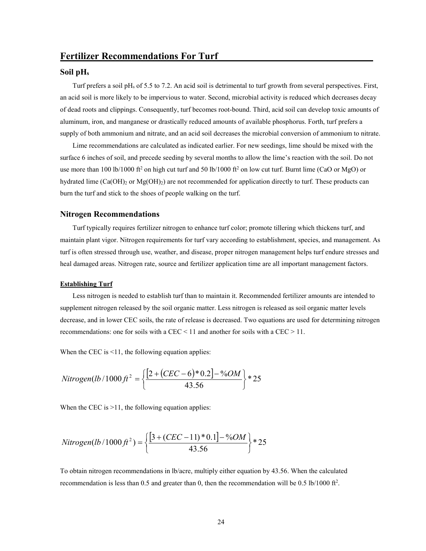#### **Soil pHs**

Turf prefers a soil pH<sub>s</sub> of 5.5 to 7.2. An acid soil is detrimental to turf growth from several perspectives. First, an acid soil is more likely to be impervious to water. Second, microbial activity is reduced which decreases decay of dead roots and clippings. Consequently, turf becomes root-bound. Third, acid soil can develop toxic amounts of aluminum, iron, and manganese or drastically reduced amounts of available phosphorus. Forth, turf prefers a supply of both ammonium and nitrate, and an acid soil decreases the microbial conversion of ammonium to nitrate.

Lime recommendations are calculated as indicated earlier. For new seedings, lime should be mixed with the surface 6 inches of soil, and precede seeding by several months to allow the lime's reaction with the soil. Do not use more than 100 lb/1000 ft<sup>2</sup> on high cut turf and 50 lb/1000 ft<sup>2</sup> on low cut turf. Burnt lime (CaO or MgO) or hydrated lime  $(Ca(OH)_2$  or  $Mg(OH)_2)$  are not recommended for application directly to turf. These products can burn the turf and stick to the shoes of people walking on the turf.

#### **Nitrogen Recommendations**

Turf typically requires fertilizer nitrogen to enhance turf color; promote tillering which thickens turf, and maintain plant vigor. Nitrogen requirements for turf vary according to establishment, species, and management. As turf is often stressed through use, weather, and disease, proper nitrogen management helps turf endure stresses and heal damaged areas. Nitrogen rate, source and fertilizer application time are all important management factors.

#### **Establishing Turf**

Less nitrogen is needed to establish turf than to maintain it. Recommended fertilizer amounts are intended to supplement nitrogen released by the soil organic matter. Less nitrogen is released as soil organic matter levels decrease, and in lower CEC soils, the rate of release is decreased. Two equations are used for determining nitrogen recommendations: one for soils with a CEC < 11 and another for soils with a CEC > 11.

When the CEC is  $\leq$ 11, the following equation applies:

$$
Nitrogen (lb/1000 ft2 = \left\{ \frac{\left[2 + \left( CEC - 6\right) * 0.2\right] - %OM}{43.56} \right\} * 25
$$

When the CEC is  $>11$ , the following equation applies:

$$
Nitrogen(lb/1000ft^2) = \left\{ \frac{[3 + (CEC - 11) * 0.1] - %OM}{43.56} \right\} * 25
$$

To obtain nitrogen recommendations in lb/acre, multiply either equation by 43.56. When the calculated recommendation is less than 0.5 and greater than 0, then the recommendation will be 0.5 lb/1000 ft<sup>2</sup>.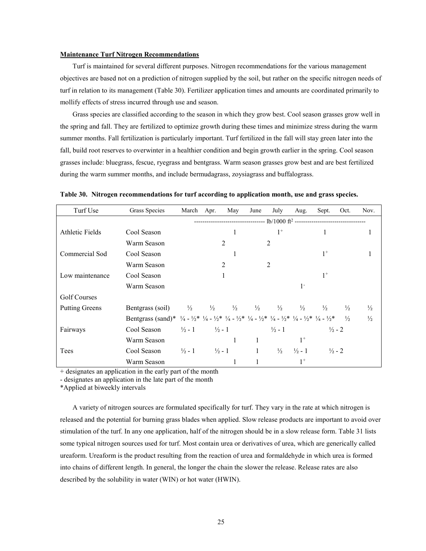#### **Maintenance Turf Nitrogen Recommendations**

Turf is maintained for several different purposes. Nitrogen recommendations for the various management objectives are based not on a prediction of nitrogen supplied by the soil, but rather on the specific nitrogen needs of turf in relation to its management (Table 30). Fertilizer application times and amounts are coordinated primarily to mollify effects of stress incurred through use and season.

Grass species are classified according to the season in which they grow best. Cool season grasses grow well in the spring and fall. They are fertilized to optimize growth during these times and minimize stress during the warm summer months. Fall fertilization is particularly important. Turf fertilized in the fall will stay green later into the fall, build root reserves to overwinter in a healthier condition and begin growth earlier in the spring. Cool season grasses include: bluegrass, fescue, ryegrass and bentgrass. Warm season grasses grow best and are best fertilized during the warm summer months, and include bermudagrass, zoysiagrass and buffalograss.

| Turf Use              | Grass Species                                                                                                                                                                                                                                                     | March                               | Apr. | May                                                                                         | June                        | July              | Aug.              | Sept.             | Oct.          | Nov.          |
|-----------------------|-------------------------------------------------------------------------------------------------------------------------------------------------------------------------------------------------------------------------------------------------------------------|-------------------------------------|------|---------------------------------------------------------------------------------------------|-----------------------------|-------------------|-------------------|-------------------|---------------|---------------|
|                       |                                                                                                                                                                                                                                                                   |                                     |      | -----------------------------    lb/1000 ft <sup>2</sup> ---------------------------------- |                             |                   |                   |                   |               |               |
| Athletic Fields       | Cool Season                                                                                                                                                                                                                                                       |                                     |      | 1                                                                                           |                             | $1^+$             |                   |                   |               |               |
|                       | Warm Season                                                                                                                                                                                                                                                       |                                     |      | 2                                                                                           |                             | $\overline{2}$    |                   |                   |               |               |
| Commercial Sod        | Cool Season                                                                                                                                                                                                                                                       |                                     |      |                                                                                             |                             |                   |                   | $1^+$             |               |               |
|                       | Warm Season                                                                                                                                                                                                                                                       |                                     |      | 2                                                                                           |                             | 2                 |                   |                   |               |               |
| Low maintenance       | Cool Season                                                                                                                                                                                                                                                       |                                     |      |                                                                                             |                             |                   |                   | $1^+$             |               |               |
|                       | Warm Season                                                                                                                                                                                                                                                       |                                     |      |                                                                                             |                             |                   | $1 -$             |                   |               |               |
| Golf Courses          |                                                                                                                                                                                                                                                                   |                                     |      |                                                                                             |                             |                   |                   |                   |               |               |
| <b>Putting Greens</b> | Bentgrass (soil)                                                                                                                                                                                                                                                  | $\frac{1}{2}$ $\frac{1}{2}$         |      |                                                                                             | $\frac{1}{2}$ $\frac{1}{2}$ | $\frac{1}{2}$     | $\frac{1}{2}$     | $\frac{1}{2}$     | $\frac{1}{2}$ | $\frac{1}{2}$ |
|                       | Bentgrass (sand)* $\frac{1}{4} - \frac{1}{2}$ * $\frac{1}{4} - \frac{1}{2}$ * $\frac{1}{4} - \frac{1}{2}$ * $\frac{1}{4} - \frac{1}{2}$ * $\frac{1}{4} - \frac{1}{2}$ * $\frac{1}{4} - \frac{1}{2}$ * $\frac{1}{4} - \frac{1}{2}$ * $\frac{1}{4} - \frac{1}{2}$ * |                                     |      |                                                                                             |                             |                   |                   |                   | $\frac{1}{2}$ | $\frac{1}{2}$ |
| Fairways              | Cool Season                                                                                                                                                                                                                                                       | $\frac{1}{2} - 1$ $\frac{1}{2} - 1$ |      |                                                                                             |                             | $\frac{1}{2}$ - 1 |                   | $\frac{1}{2}$ - 2 |               |               |
|                       | Warm Season                                                                                                                                                                                                                                                       |                                     |      | 1                                                                                           |                             |                   | $1^+$             |                   |               |               |
| Tees                  | Cool Season                                                                                                                                                                                                                                                       | $\frac{1}{2} - 1$ $\frac{1}{2} - 1$ |      |                                                                                             | $\mathbf{1}$                | $\frac{1}{2}$     | $\frac{1}{2}$ - 1 | $\frac{1}{2}$ - 2 |               |               |
|                       | Warm Season                                                                                                                                                                                                                                                       |                                     |      |                                                                                             |                             |                   | $1^+$             |                   |               |               |

**Table 30. Nitrogen recommendations for turf according to application month, use and grass species.**

+ designates an application in the early part of the month

- designates an application in the late part of the month

\*Applied at biweekly intervals

A variety of nitrogen sources are formulated specifically for turf. They vary in the rate at which nitrogen is released and the potential for burning grass blades when applied. Slow release products are important to avoid over stimulation of the turf. In any one application, half of the nitrogen should be in a slow release form. Table 31 lists some typical nitrogen sources used for turf. Most contain urea or derivatives of urea, which are generically called ureaform. Ureaform is the product resulting from the reaction of urea and formaldehyde in which urea is formed into chains of different length. In general, the longer the chain the slower the release. Release rates are also described by the solubility in water (WIN) or hot water (HWIN).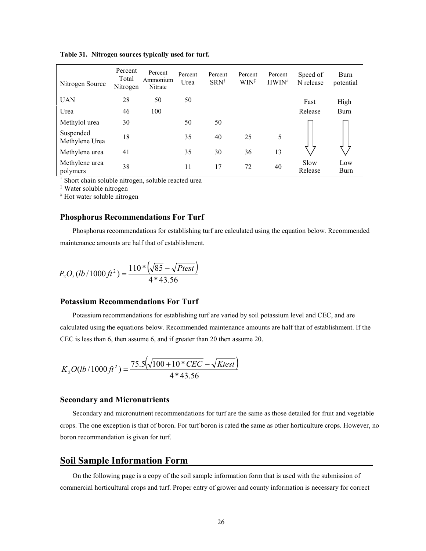| Nitrogen Source             | Percent<br>Total<br>Nitrogen | Percent<br>Ammonium<br>Nitrate | Percent<br>Urea | Percent<br>SRN <sup>†</sup> | Percent<br>WIN <sup>‡</sup> | Percent<br>$HWIN^*$ | Speed of<br>N release | Burn<br>potential |
|-----------------------------|------------------------------|--------------------------------|-----------------|-----------------------------|-----------------------------|---------------------|-----------------------|-------------------|
| <b>UAN</b>                  | 28                           | 50                             | 50              |                             |                             |                     | Fast                  | High              |
| Urea                        | 46                           | 100                            |                 |                             |                             |                     | Release               | <b>Burn</b>       |
| Methylol urea               | 30                           |                                | 50              | 50                          |                             |                     |                       |                   |
| Suspended<br>Methylene Urea | 18                           |                                | 35              | 40                          | 25                          | 5                   |                       |                   |
| Methylene urea              | 41                           |                                | 35              | 30                          | 36                          | 13                  |                       |                   |
| Methylene urea<br>polymers  | 38                           |                                | 11              | 17                          | 72                          | 40                  | Slow<br>Release       | Low<br>Burn       |

**Table 31. Nitrogen sources typically used for turf.**

† Short chain soluble nitrogen, soluble reacted urea

‡ Water soluble nitrogen

# Hot water soluble nitrogen

## **Phosphorus Recommendations For Turf**

Phosphorus recommendations for establishing turf are calculated using the equation below. Recommended maintenance amounts are half that of establishment.

$$
P_2O_5(lb/1000\,ft^2) = \frac{110*(\sqrt{85} - \sqrt{Ptest})}{4*43.56}
$$

## **Potassium Recommendations For Turf**

Potassium recommendations for establishing turf are varied by soil potassium level and CEC, and are calculated using the equations below. Recommended maintenance amounts are half that of establishment. If the CEC is less than 6, then assume 6, and if greater than 20 then assume 20.

$$
K_2O(lb/1000\,\text{ft}^2) = \frac{75.5(\sqrt{100+10*CEC} - \sqrt{\text{Ktest}})}{4*43.56}
$$

#### **Secondary and Micronutrients**

Secondary and micronutrient recommendations for turf are the same as those detailed for fruit and vegetable crops. The one exception is that of boron. For turf boron is rated the same as other horticulture crops. However, no boron recommendation is given for turf.

# **Soil Sample Information Form**

On the following page is a copy of the soil sample information form that is used with the submission of commercial horticultural crops and turf. Proper entry of grower and county information is necessary for correct